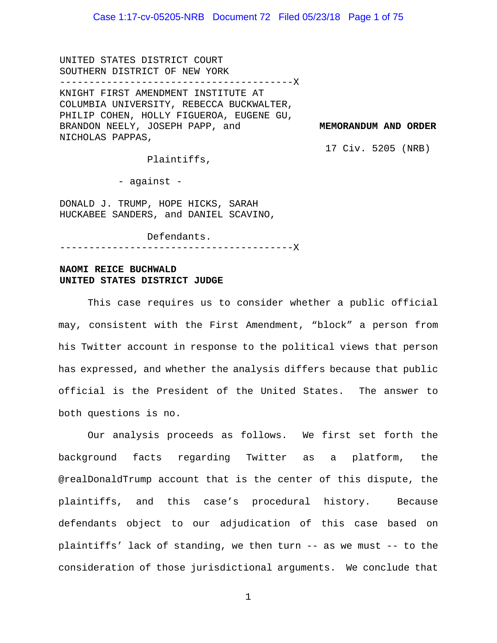UNITED STATES DISTRICT COURT SOUTHERN DISTRICT OF NEW YORK ----------------------------------------X KNIGHT FIRST AMENDMENT INSTITUTE AT COLUMBIA UNIVERSITY, REBECCA BUCKWALTER, PHILIP COHEN, HOLLY FIGUEROA, EUGENE GU, BRANDON NEELY, JOSEPH PAPP, and NICHOLAS PAPPAS,

**MEMORANDUM AND ORDER** 

17 Civ. 5205 (NRB)

Plaintiffs,

- against -

DONALD J. TRUMP, HOPE HICKS, SARAH HUCKABEE SANDERS, and DANIEL SCAVINO,

Defendants.

----------------------------------------X

#### **NAOMI REICE BUCHWALD UNITED STATES DISTRICT JUDGE**

This case requires us to consider whether a public official may, consistent with the First Amendment, "block" a person from his Twitter account in response to the political views that person has expressed, and whether the analysis differs because that public official is the President of the United States. The answer to both questions is no.

Our analysis proceeds as follows. We first set forth the background facts regarding Twitter as a platform, the @realDonaldTrump account that is the center of this dispute, the plaintiffs, and this case's procedural history. Because defendants object to our adjudication of this case based on plaintiffs' lack of standing, we then turn -- as we must -- to the consideration of those jurisdictional arguments. We conclude that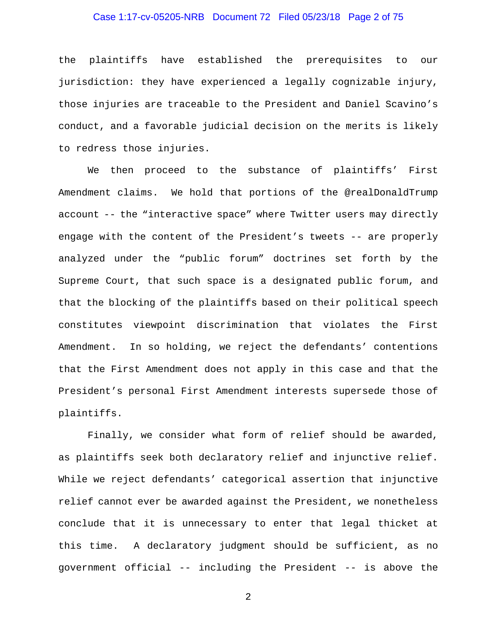## Case 1:17-cv-05205-NRB Document 72 Filed 05/23/18 Page 2 of 75

the plaintiffs have established the prerequisites to our jurisdiction: they have experienced a legally cognizable injury, those injuries are traceable to the President and Daniel Scavino's conduct, and a favorable judicial decision on the merits is likely to redress those injuries.

We then proceed to the substance of plaintiffs' First Amendment claims. We hold that portions of the @realDonaldTrump account -- the "interactive space" where Twitter users may directly engage with the content of the President's tweets -- are properly analyzed under the "public forum" doctrines set forth by the Supreme Court, that such space is a designated public forum, and that the blocking of the plaintiffs based on their political speech constitutes viewpoint discrimination that violates the First Amendment. In so holding, we reject the defendants' contentions that the First Amendment does not apply in this case and that the President's personal First Amendment interests supersede those of plaintiffs.

Finally, we consider what form of relief should be awarded, as plaintiffs seek both declaratory relief and injunctive relief. While we reject defendants' categorical assertion that injunctive relief cannot ever be awarded against the President, we nonetheless conclude that it is unnecessary to enter that legal thicket at this time. A declaratory judgment should be sufficient, as no government official -- including the President -- is above the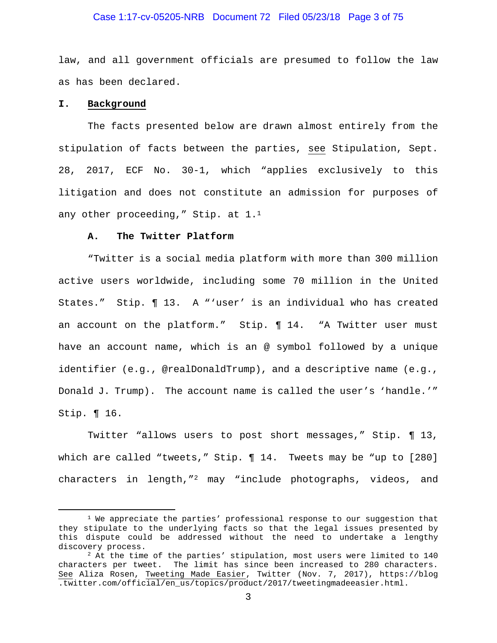#### Case 1:17-cv-05205-NRB Document 72 Filed 05/23/18 Page 3 of 75

law, and all government officials are presumed to follow the law as has been declared.

#### **I. Background**

The facts presented below are drawn almost entirely from the stipulation of facts between the parties, see Stipulation, Sept. 28, 2017, ECF No. 30-1, which "applies exclusively to this litigation and does not constitute an admission for purposes of any other proceeding," Stip. at 1.<sup>1</sup>

#### **A. The Twitter Platform**

"Twitter is a social media platform with more than 300 million active users worldwide, including some 70 million in the United States." Stip. ¶ 13. A "'user' is an individual who has created an account on the platform." Stip. ¶ 14. "A Twitter user must have an account name, which is an @ symbol followed by a unique identifier (e.g., @realDonaldTrump), and a descriptive name (e.g., Donald J. Trump). The account name is called the user's 'handle.'" Stip. ¶ 16.

Twitter "allows users to post short messages," Stip. ¶ 13, which are called "tweets," Stip. ¶ 14. Tweets may be "up to [280] characters in length,"2 may "include photographs, videos, and

 $1$  We appreciate the parties' professional response to our suggestion that they stipulate to the underlying facts so that the legal issues presented by this dispute could be addressed without the need to undertake a lengthy discovery process.<br><sup>2</sup> At the time of the parties' stipulation, most users were limited to 140

characters per tweet. The limit has since been increased to 280 characters. See Aliza Rosen, Tweeting Made Easier, Twitter (Nov. 7, 2017), https://blog .twitter.com/official/en\_us/topics/product/2017/tweetingmadeeasier.html.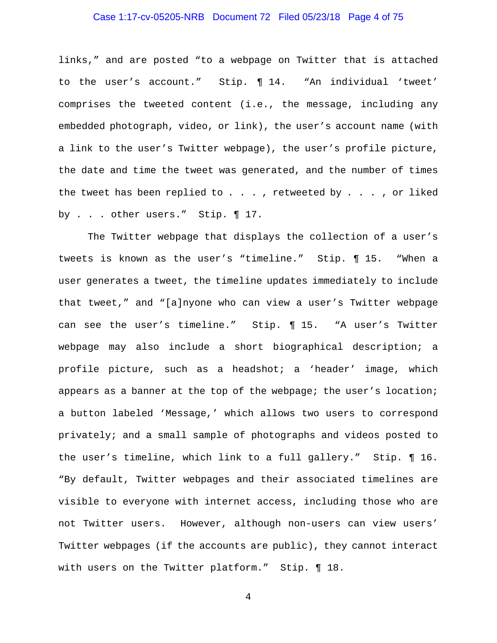## Case 1:17-cv-05205-NRB Document 72 Filed 05/23/18 Page 4 of 75

links," and are posted "to a webpage on Twitter that is attached to the user's account." Stip. ¶ 14. "An individual 'tweet' comprises the tweeted content (i.e., the message, including any embedded photograph, video, or link), the user's account name (with a link to the user's Twitter webpage), the user's profile picture, the date and time the tweet was generated, and the number of times the tweet has been replied to  $\ldots$ , retweeted by  $\ldots$ , or liked by . . . other users." Stip. ¶ 17.

The Twitter webpage that displays the collection of a user's tweets is known as the user's "timeline." Stip. ¶ 15. "When a user generates a tweet, the timeline updates immediately to include that tweet," and "[a]nyone who can view a user's Twitter webpage can see the user's timeline." Stip. ¶ 15. "A user's Twitter webpage may also include a short biographical description; a profile picture, such as a headshot; a 'header' image, which appears as a banner at the top of the webpage; the user's location; a button labeled 'Message,' which allows two users to correspond privately; and a small sample of photographs and videos posted to the user's timeline, which link to a full gallery." Stip. ¶ 16. "By default, Twitter webpages and their associated timelines are visible to everyone with internet access, including those who are not Twitter users. However, although non-users can view users' Twitter webpages (if the accounts are public), they cannot interact with users on the Twitter platform." Stip. ¶ 18.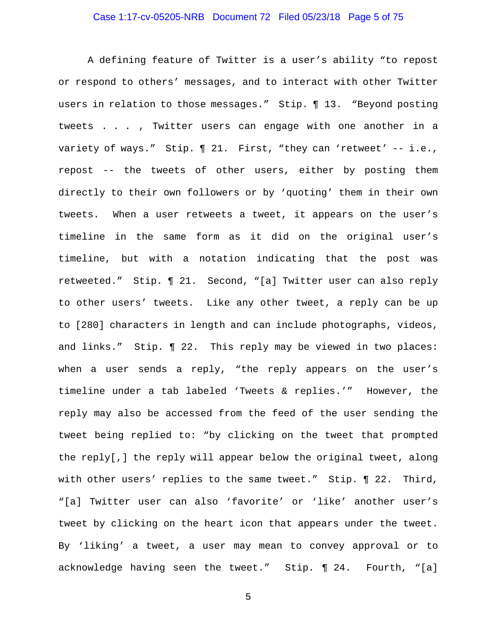## Case 1:17-cv-05205-NRB Document 72 Filed 05/23/18 Page 5 of 75

A defining feature of Twitter is a user's ability "to repost or respond to others' messages, and to interact with other Twitter users in relation to those messages." Stip. ¶ 13. "Beyond posting tweets . . . , Twitter users can engage with one another in a variety of ways." Stip. ¶ 21. First, "they can 'retweet' -- i.e., repost -- the tweets of other users, either by posting them directly to their own followers or by 'quoting' them in their own tweets. When a user retweets a tweet, it appears on the user's timeline in the same form as it did on the original user's timeline, but with a notation indicating that the post was retweeted." Stip. ¶ 21. Second, "[a] Twitter user can also reply to other users' tweets. Like any other tweet, a reply can be up to [280] characters in length and can include photographs, videos, and links." Stip. ¶ 22. This reply may be viewed in two places: when a user sends a reply, "the reply appears on the user's timeline under a tab labeled 'Tweets & replies.'" However, the reply may also be accessed from the feed of the user sending the tweet being replied to: "by clicking on the tweet that prompted the reply[,] the reply will appear below the original tweet, along with other users' replies to the same tweet." Stip. ¶ 22. Third, "[a] Twitter user can also 'favorite' or 'like' another user's tweet by clicking on the heart icon that appears under the tweet. By 'liking' a tweet, a user may mean to convey approval or to acknowledge having seen the tweet." Stip. ¶ 24. Fourth, "[a]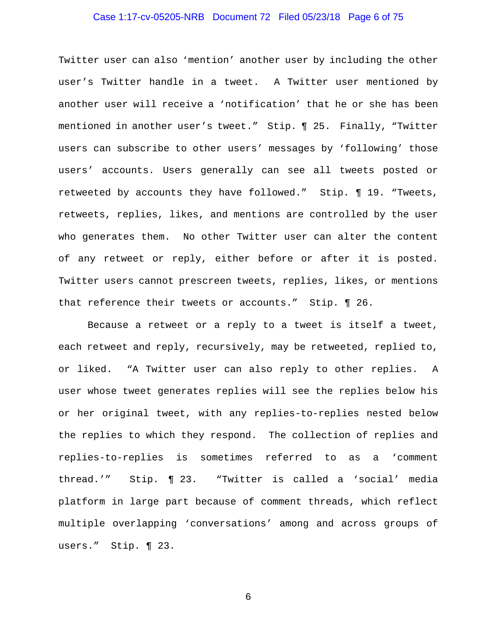## Case 1:17-cv-05205-NRB Document 72 Filed 05/23/18 Page 6 of 75

Twitter user can also 'mention' another user by including the other user's Twitter handle in a tweet. A Twitter user mentioned by another user will receive a 'notification' that he or she has been mentioned in another user's tweet." Stip. ¶ 25. Finally, "Twitter users can subscribe to other users' messages by 'following' those users' accounts. Users generally can see all tweets posted or retweeted by accounts they have followed." Stip. ¶ 19. "Tweets, retweets, replies, likes, and mentions are controlled by the user who generates them. No other Twitter user can alter the content of any retweet or reply, either before or after it is posted. Twitter users cannot prescreen tweets, replies, likes, or mentions that reference their tweets or accounts." Stip. ¶ 26.

Because a retweet or a reply to a tweet is itself a tweet, each retweet and reply, recursively, may be retweeted, replied to, or liked. "A Twitter user can also reply to other replies. A user whose tweet generates replies will see the replies below his or her original tweet, with any replies-to-replies nested below the replies to which they respond. The collection of replies and replies-to-replies is sometimes referred to as a 'comment thread.'" Stip. ¶ 23. "Twitter is called a 'social' media platform in large part because of comment threads, which reflect multiple overlapping 'conversations' among and across groups of users." Stip. ¶ 23.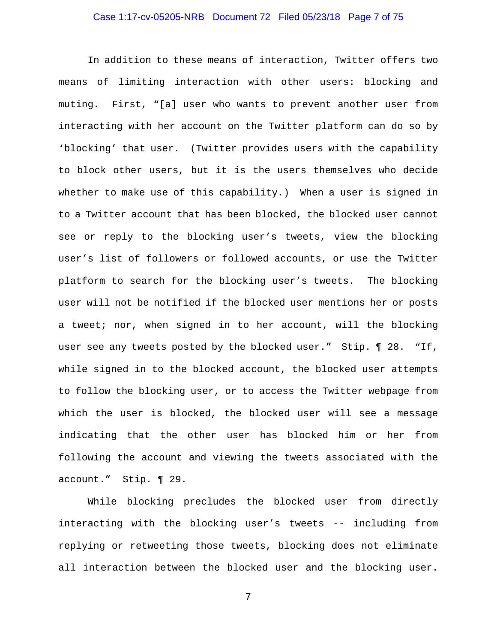## Case 1:17-cv-05205-NRB Document 72 Filed 05/23/18 Page 7 of 75

In addition to these means of interaction, Twitter offers two means of limiting interaction with other users: blocking and muting. First, "[a] user who wants to prevent another user from interacting with her account on the Twitter platform can do so by 'blocking' that user. (Twitter provides users with the capability to block other users, but it is the users themselves who decide whether to make use of this capability.) When a user is signed in to a Twitter account that has been blocked, the blocked user cannot see or reply to the blocking user's tweets, view the blocking user's list of followers or followed accounts, or use the Twitter platform to search for the blocking user's tweets. The blocking user will not be notified if the blocked user mentions her or posts a tweet; nor, when signed in to her account, will the blocking user see any tweets posted by the blocked user." Stip. ¶ 28. "If, while signed in to the blocked account, the blocked user attempts to follow the blocking user, or to access the Twitter webpage from which the user is blocked, the blocked user will see a message indicating that the other user has blocked him or her from following the account and viewing the tweets associated with the account." Stip. ¶ 29.

While blocking precludes the blocked user from directly interacting with the blocking user's tweets -- including from replying or retweeting those tweets, blocking does not eliminate all interaction between the blocked user and the blocking user.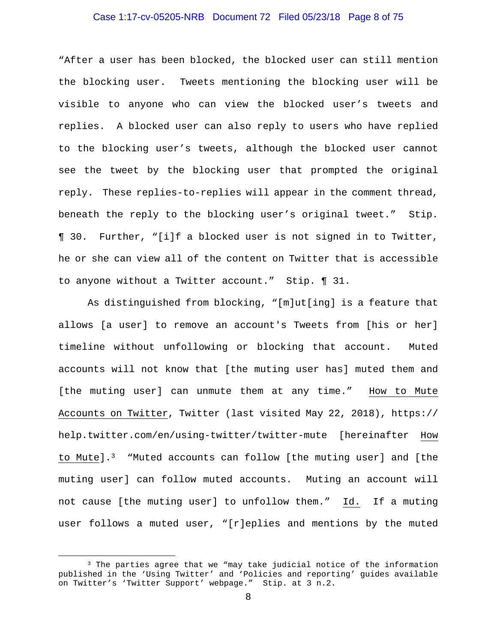## Case 1:17-cv-05205-NRB Document 72 Filed 05/23/18 Page 8 of 75

"After a user has been blocked, the blocked user can still mention the blocking user. Tweets mentioning the blocking user will be visible to anyone who can view the blocked user's tweets and replies. A blocked user can also reply to users who have replied to the blocking user's tweets, although the blocked user cannot see the tweet by the blocking user that prompted the original reply. These replies-to-replies will appear in the comment thread, beneath the reply to the blocking user's original tweet." Stip. ¶ 30. Further, "[i]f a blocked user is not signed in to Twitter, he or she can view all of the content on Twitter that is accessible to anyone without a Twitter account." Stip. ¶ 31.

As distinguished from blocking, "[m]ut[ing] is a feature that allows [a user] to remove an account's Tweets from [his or her] timeline without unfollowing or blocking that account. Muted accounts will not know that [the muting user has] muted them and [the muting user] can unmute them at any time." How to Mute Accounts on Twitter, Twitter (last visited May 22, 2018), https:// help.twitter.com/en/using-twitter/twitter-mute [hereinafter How to Mute].3 "Muted accounts can follow [the muting user] and [the muting user] can follow muted accounts. Muting an account will not cause [the muting user] to unfollow them." Id. If a muting user follows a muted user, "[r]eplies and mentions by the muted

 <sup>3</sup> The parties agree that we "may take judicial notice of the information published in the 'Using Twitter' and 'Policies and reporting' guides available on Twitter's 'Twitter Support' webpage." Stip. at 3 n.2.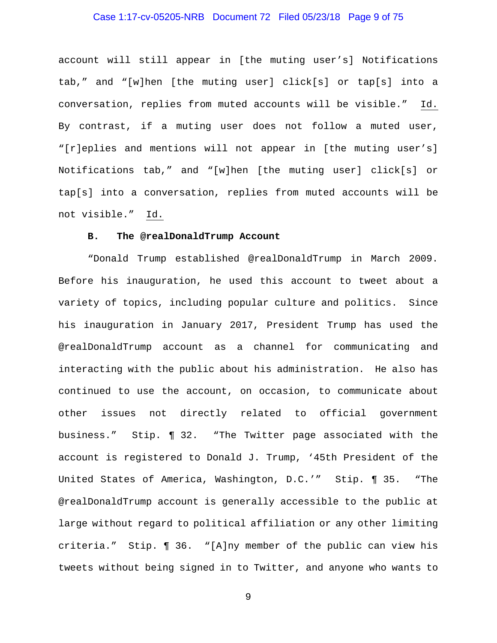## Case 1:17-cv-05205-NRB Document 72 Filed 05/23/18 Page 9 of 75

account will still appear in [the muting user's] Notifications tab," and "[w]hen [the muting user] click[s] or tap[s] into a conversation, replies from muted accounts will be visible." Id. By contrast, if a muting user does not follow a muted user, "[r]eplies and mentions will not appear in [the muting user's] Notifications tab," and "[w]hen [the muting user] click[s] or tap[s] into a conversation, replies from muted accounts will be not visible." Id.

## **B. The @realDonaldTrump Account**

"Donald Trump established @realDonaldTrump in March 2009. Before his inauguration, he used this account to tweet about a variety of topics, including popular culture and politics. Since his inauguration in January 2017, President Trump has used the @realDonaldTrump account as a channel for communicating and interacting with the public about his administration. He also has continued to use the account, on occasion, to communicate about other issues not directly related to official government business." Stip. ¶ 32. "The Twitter page associated with the account is registered to Donald J. Trump, '45th President of the United States of America, Washington, D.C.'" Stip. ¶ 35. "The @realDonaldTrump account is generally accessible to the public at large without regard to political affiliation or any other limiting criteria." Stip. ¶ 36. "[A]ny member of the public can view his tweets without being signed in to Twitter, and anyone who wants to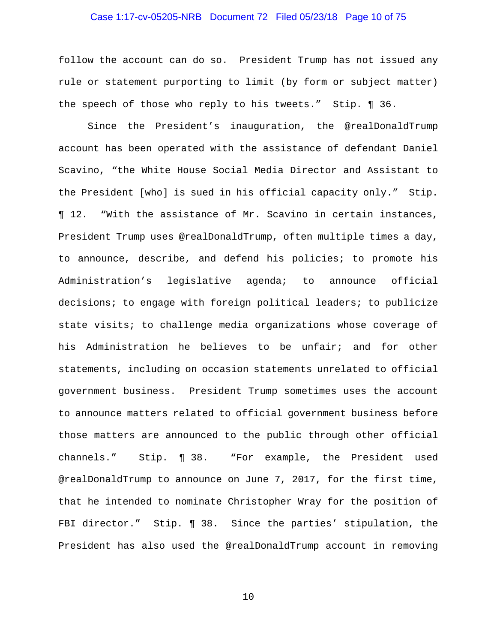## Case 1:17-cv-05205-NRB Document 72 Filed 05/23/18 Page 10 of 75

follow the account can do so. President Trump has not issued any rule or statement purporting to limit (by form or subject matter) the speech of those who reply to his tweets." Stip. ¶ 36.

Since the President's inauguration, the @realDonaldTrump account has been operated with the assistance of defendant Daniel Scavino, "the White House Social Media Director and Assistant to the President [who] is sued in his official capacity only." Stip. ¶ 12. "With the assistance of Mr. Scavino in certain instances, President Trump uses @realDonaldTrump, often multiple times a day, to announce, describe, and defend his policies; to promote his Administration's legislative agenda; to announce official decisions; to engage with foreign political leaders; to publicize state visits; to challenge media organizations whose coverage of his Administration he believes to be unfair; and for other statements, including on occasion statements unrelated to official government business. President Trump sometimes uses the account to announce matters related to official government business before those matters are announced to the public through other official channels." Stip. ¶ 38. "For example, the President used @realDonaldTrump to announce on June 7, 2017, for the first time, that he intended to nominate Christopher Wray for the position of FBI director." Stip. 1 38. Since the parties' stipulation, the President has also used the @realDonaldTrump account in removing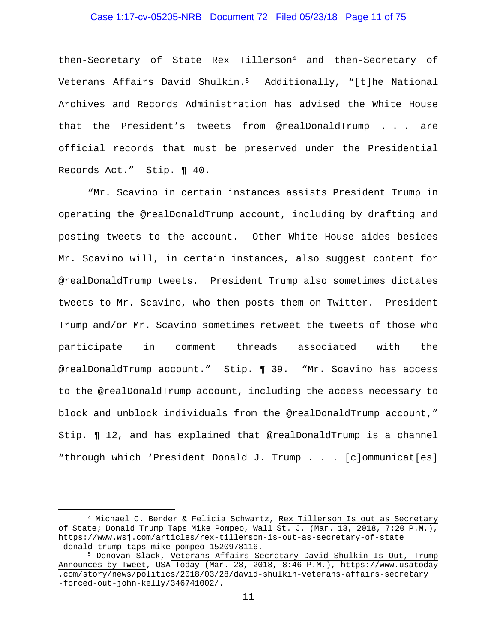## Case 1:17-cv-05205-NRB Document 72 Filed 05/23/18 Page 11 of 75

then-Secretary of State Rex Tillerson4 and then-Secretary of Veterans Affairs David Shulkin.5 Additionally, "[t]he National Archives and Records Administration has advised the White House that the President's tweets from @realDonaldTrump . . . are official records that must be preserved under the Presidential Records Act." Stip. ¶ 40.

"Mr. Scavino in certain instances assists President Trump in operating the @realDonaldTrump account, including by drafting and posting tweets to the account. Other White House aides besides Mr. Scavino will, in certain instances, also suggest content for @realDonaldTrump tweets. President Trump also sometimes dictates tweets to Mr. Scavino, who then posts them on Twitter. President Trump and/or Mr. Scavino sometimes retweet the tweets of those who participate in comment threads associated with the @realDonaldTrump account." Stip. ¶ 39. "Mr. Scavino has access to the @realDonaldTrump account, including the access necessary to block and unblock individuals from the @realDonaldTrump account," Stip. ¶ 12, and has explained that @realDonaldTrump is a channel "through which 'President Donald J. Trump . . . [c]ommunicat[es]

<sup>&</sup>lt;sup>4</sup> Michael C. Bender & Felicia Schwartz, Rex Tillerson Is out as Secretary of State; Donald Trump Taps Mike Pompeo, Wall St. J. (Mar. 13, 2018, 7:20 P.M.), https://www.wsj.com/articles/rex-tillerson-is-out-as-secretary-of-state -donald-trump-taps-mike-pompeo-1520978116.<br><sup>5</sup> Donovan Slack, Veterans Affairs Secretary David Shulkin Is Out, Trump

Announces by Tweet, USA Today (Mar. 28, 2018, 8:46 P.M.), https://www.usatoday .com/story/news/politics/2018/03/28/david-shulkin-veterans-affairs-secretary -forced-out-john-kelly/346741002/.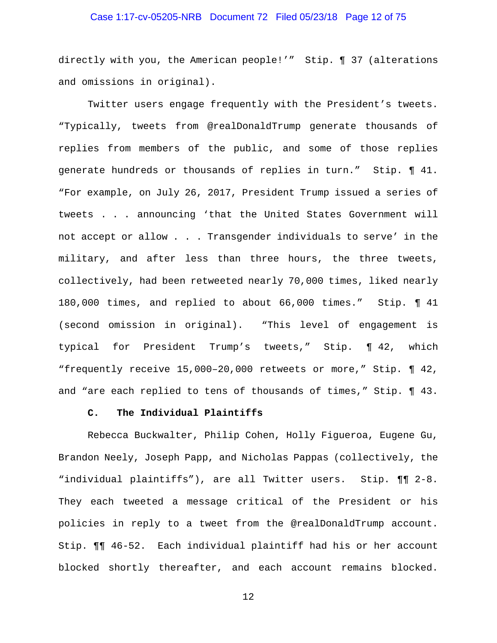## Case 1:17-cv-05205-NRB Document 72 Filed 05/23/18 Page 12 of 75

directly with you, the American people!'" Stip. ¶ 37 (alterations and omissions in original).

Twitter users engage frequently with the President's tweets. "Typically, tweets from @realDonaldTrump generate thousands of replies from members of the public, and some of those replies generate hundreds or thousands of replies in turn." Stip. ¶ 41. "For example, on July 26, 2017, President Trump issued a series of tweets . . . announcing 'that the United States Government will not accept or allow . . . Transgender individuals to serve' in the military, and after less than three hours, the three tweets, collectively, had been retweeted nearly 70,000 times, liked nearly 180,000 times, and replied to about 66,000 times." Stip. ¶ 41 (second omission in original). "This level of engagement is typical for President Trump's tweets," Stip. ¶ 42, which "frequently receive 15,000–20,000 retweets or more," Stip. ¶ 42, and "are each replied to tens of thousands of times," Stip. ¶ 43.

#### **C. The Individual Plaintiffs**

Rebecca Buckwalter, Philip Cohen, Holly Figueroa, Eugene Gu, Brandon Neely, Joseph Papp, and Nicholas Pappas (collectively, the "individual plaintiffs"), are all Twitter users. Stip. ¶¶ 2-8. They each tweeted a message critical of the President or his policies in reply to a tweet from the @realDonaldTrump account. Stip. ¶¶ 46-52. Each individual plaintiff had his or her account blocked shortly thereafter, and each account remains blocked.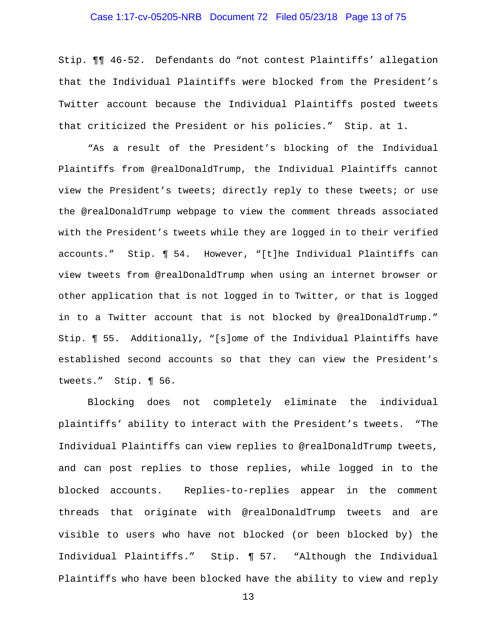## Case 1:17-cv-05205-NRB Document 72 Filed 05/23/18 Page 13 of 75

Stip. ¶¶ 46-52. Defendants do "not contest Plaintiffs' allegation that the Individual Plaintiffs were blocked from the President's Twitter account because the Individual Plaintiffs posted tweets that criticized the President or his policies." Stip. at 1.

"As a result of the President's blocking of the Individual Plaintiffs from @realDonaldTrump, the Individual Plaintiffs cannot view the President's tweets; directly reply to these tweets; or use the @realDonaldTrump webpage to view the comment threads associated with the President's tweets while they are logged in to their verified accounts." Stip. ¶ 54. However, "[t]he Individual Plaintiffs can view tweets from @realDonaldTrump when using an internet browser or other application that is not logged in to Twitter, or that is logged in to a Twitter account that is not blocked by @realDonaldTrump." Stip. ¶ 55. Additionally, "[s]ome of the Individual Plaintiffs have established second accounts so that they can view the President's tweets." Stip. ¶ 56.

Blocking does not completely eliminate the individual plaintiffs' ability to interact with the President's tweets. "The Individual Plaintiffs can view replies to @realDonaldTrump tweets, and can post replies to those replies, while logged in to the blocked accounts. Replies-to-replies appear in the comment threads that originate with @realDonaldTrump tweets and are visible to users who have not blocked (or been blocked by) the Individual Plaintiffs." Stip. ¶ 57. "Although the Individual Plaintiffs who have been blocked have the ability to view and reply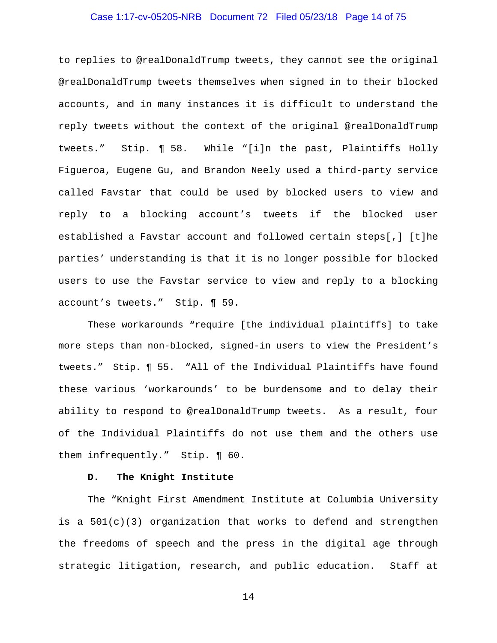## Case 1:17-cv-05205-NRB Document 72 Filed 05/23/18 Page 14 of 75

to replies to @realDonaldTrump tweets, they cannot see the original @realDonaldTrump tweets themselves when signed in to their blocked accounts, and in many instances it is difficult to understand the reply tweets without the context of the original @realDonaldTrump tweets." Stip. ¶ 58. While "[i]n the past, Plaintiffs Holly Figueroa, Eugene Gu, and Brandon Neely used a third-party service called Favstar that could be used by blocked users to view and reply to a blocking account's tweets if the blocked user established a Favstar account and followed certain steps[,] [t]he parties' understanding is that it is no longer possible for blocked users to use the Favstar service to view and reply to a blocking account's tweets." Stip. ¶ 59.

These workarounds "require [the individual plaintiffs] to take more steps than non-blocked, signed-in users to view the President's tweets." Stip. ¶ 55. "All of the Individual Plaintiffs have found these various 'workarounds' to be burdensome and to delay their ability to respond to @realDonaldTrump tweets. As a result, four of the Individual Plaintiffs do not use them and the others use them infrequently." Stip. ¶ 60.

## **D. The Knight Institute**

The "Knight First Amendment Institute at Columbia University is a 501(c)(3) organization that works to defend and strengthen the freedoms of speech and the press in the digital age through strategic litigation, research, and public education. Staff at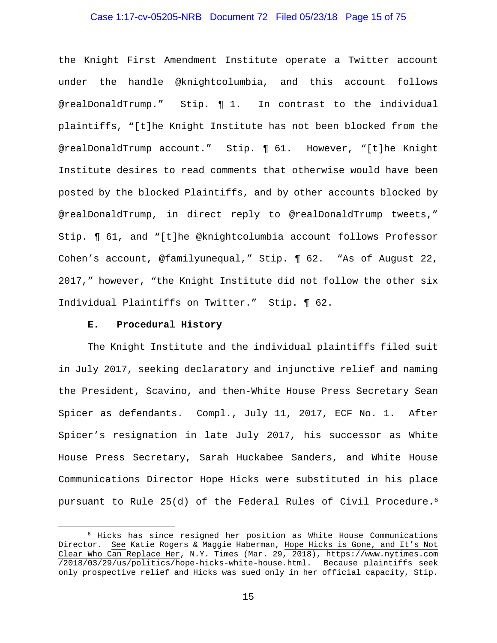## Case 1:17-cv-05205-NRB Document 72 Filed 05/23/18 Page 15 of 75

the Knight First Amendment Institute operate a Twitter account under the handle @knightcolumbia, and this account follows @realDonaldTrump." Stip. ¶ 1. In contrast to the individual plaintiffs, "[t]he Knight Institute has not been blocked from the @realDonaldTrump account." Stip. ¶ 61. However, "[t]he Knight Institute desires to read comments that otherwise would have been posted by the blocked Plaintiffs, and by other accounts blocked by @realDonaldTrump, in direct reply to @realDonaldTrump tweets," Stip. ¶ 61, and "[t]he @knightcolumbia account follows Professor Cohen's account, @familyunequal," Stip. ¶ 62. "As of August 22, 2017," however, "the Knight Institute did not follow the other six Individual Plaintiffs on Twitter." Stip. ¶ 62.

#### **E. Procedural History**

The Knight Institute and the individual plaintiffs filed suit in July 2017, seeking declaratory and injunctive relief and naming the President, Scavino, and then-White House Press Secretary Sean Spicer as defendants. Compl., July 11, 2017, ECF No. 1. After Spicer's resignation in late July 2017, his successor as White House Press Secretary, Sarah Huckabee Sanders, and White House Communications Director Hope Hicks were substituted in his place pursuant to Rule 25(d) of the Federal Rules of Civil Procedure.<sup>6</sup>

 <sup>6</sup> Hicks has since resigned her position as White House Communications Director. See Katie Rogers & Maggie Haberman, Hope Hicks is Gone, and It's Not Clear Who Can Replace Her, N.Y. Times (Mar. 29, 2018), https://www.nytimes.com /2018/03/29/us/politics/hope-hicks-white-house.html. Because plaintiffs seek only prospective relief and Hicks was sued only in her official capacity, Stip.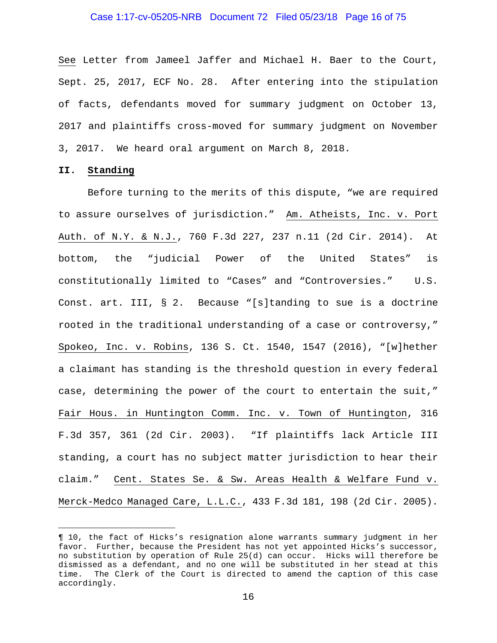#### Case 1:17-cv-05205-NRB Document 72 Filed 05/23/18 Page 16 of 75

See Letter from Jameel Jaffer and Michael H. Baer to the Court, Sept. 25, 2017, ECF No. 28. After entering into the stipulation of facts, defendants moved for summary judgment on October 13, 2017 and plaintiffs cross-moved for summary judgment on November 3, 2017. We heard oral argument on March 8, 2018.

#### **II. Standing**

i<br>Li

Before turning to the merits of this dispute, "we are required to assure ourselves of jurisdiction." Am. Atheists, Inc. v. Port Auth. of N.Y. & N.J., 760 F.3d 227, 237 n.11 (2d Cir. 2014). At bottom, the "judicial Power of the United States" is constitutionally limited to "Cases" and "Controversies." U.S. Const. art. III, § 2. Because "[s]tanding to sue is a doctrine rooted in the traditional understanding of a case or controversy," Spokeo, Inc. v. Robins, 136 S. Ct. 1540, 1547 (2016), "[w]hether a claimant has standing is the threshold question in every federal case, determining the power of the court to entertain the suit," Fair Hous. in Huntington Comm. Inc. v. Town of Huntington, 316 F.3d 357, 361 (2d Cir. 2003). "If plaintiffs lack Article III standing, a court has no subject matter jurisdiction to hear their claim." Cent. States Se. & Sw. Areas Health & Welfare Fund v. Merck-Medco Managed Care, L.L.C., 433 F.3d 181, 198 (2d Cir. 2005).

<sup>¶ 10,</sup> the fact of Hicks's resignation alone warrants summary judgment in her favor. Further, because the President has not yet appointed Hicks's successor, no substitution by operation of Rule 25(d) can occur. Hicks will therefore be dismissed as a defendant, and no one will be substituted in her stead at this time. The Clerk of the Court is directed to amend the caption of this case accordingly.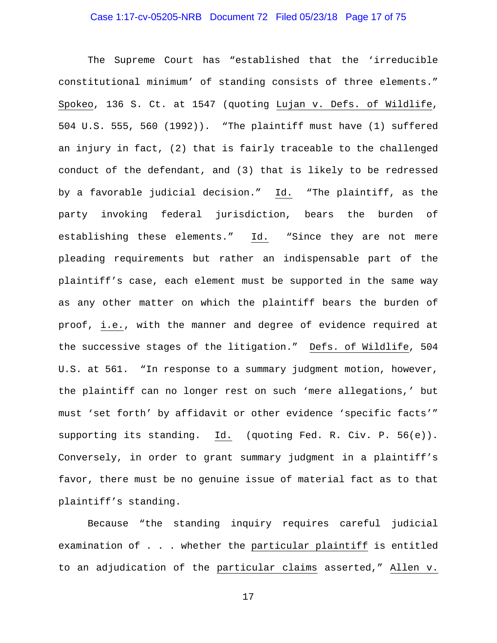## Case 1:17-cv-05205-NRB Document 72 Filed 05/23/18 Page 17 of 75

The Supreme Court has "established that the 'irreducible constitutional minimum' of standing consists of three elements." Spokeo, 136 S. Ct. at 1547 (quoting Lujan v. Defs. of Wildlife, 504 U.S. 555, 560 (1992)). "The plaintiff must have (1) suffered an injury in fact, (2) that is fairly traceable to the challenged conduct of the defendant, and (3) that is likely to be redressed by a favorable judicial decision." Id. "The plaintiff, as the party invoking federal jurisdiction, bears the burden of establishing these elements." Id. "Since they are not mere pleading requirements but rather an indispensable part of the plaintiff's case, each element must be supported in the same way as any other matter on which the plaintiff bears the burden of proof, i.e., with the manner and degree of evidence required at the successive stages of the litigation." Defs. of Wildlife, 504 U.S. at 561. "In response to a summary judgment motion, however, the plaintiff can no longer rest on such 'mere allegations,' but must 'set forth' by affidavit or other evidence 'specific facts'" supporting its standing. Id. (quoting Fed. R. Civ. P. 56(e)). Conversely, in order to grant summary judgment in a plaintiff's favor, there must be no genuine issue of material fact as to that plaintiff's standing.

Because "the standing inquiry requires careful judicial examination of . . . whether the particular plaintiff is entitled to an adjudication of the particular claims asserted," Allen v.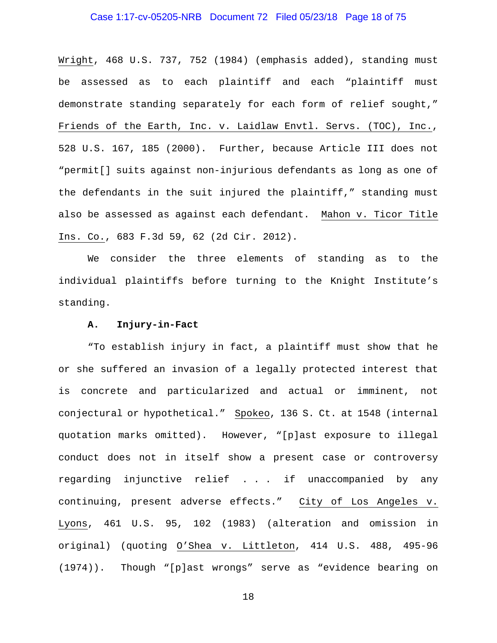## Case 1:17-cv-05205-NRB Document 72 Filed 05/23/18 Page 18 of 75

Wright, 468 U.S. 737, 752 (1984) (emphasis added), standing must be assessed as to each plaintiff and each "plaintiff must demonstrate standing separately for each form of relief sought," Friends of the Earth, Inc. v. Laidlaw Envtl. Servs. (TOC), Inc., 528 U.S. 167, 185 (2000). Further, because Article III does not "permit[] suits against non-injurious defendants as long as one of the defendants in the suit injured the plaintiff," standing must also be assessed as against each defendant. Mahon v. Ticor Title Ins. Co., 683 F.3d 59, 62 (2d Cir. 2012).

We consider the three elements of standing as to the individual plaintiffs before turning to the Knight Institute's standing.

#### **A. Injury-in-Fact**

"To establish injury in fact, a plaintiff must show that he or she suffered an invasion of a legally protected interest that is concrete and particularized and actual or imminent, not conjectural or hypothetical." Spokeo, 136 S. Ct. at 1548 (internal quotation marks omitted). However, "[p]ast exposure to illegal conduct does not in itself show a present case or controversy regarding injunctive relief . . . if unaccompanied by any continuing, present adverse effects." City of Los Angeles v. Lyons, 461 U.S. 95, 102 (1983) (alteration and omission in original) (quoting O'Shea v. Littleton, 414 U.S. 488, 495-96 (1974)). Though "[p]ast wrongs" serve as "evidence bearing on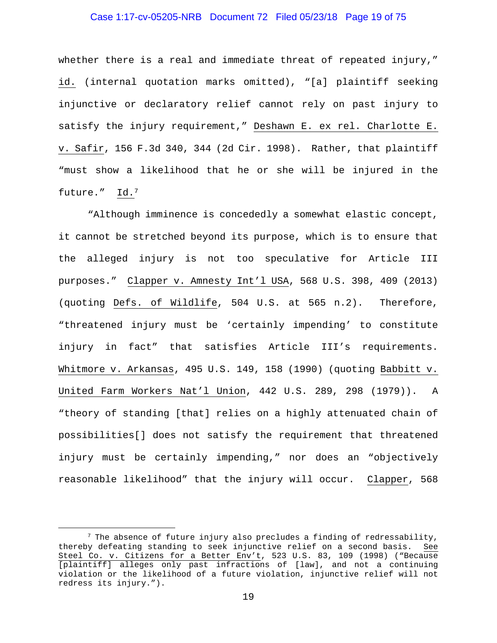## Case 1:17-cv-05205-NRB Document 72 Filed 05/23/18 Page 19 of 75

whether there is a real and immediate threat of repeated injury," id. (internal quotation marks omitted), "[a] plaintiff seeking injunctive or declaratory relief cannot rely on past injury to satisfy the injury requirement," Deshawn E. ex rel. Charlotte E. v. Safir, 156 F.3d 340, 344 (2d Cir. 1998). Rather, that plaintiff "must show a likelihood that he or she will be injured in the future." Id.7

"Although imminence is concededly a somewhat elastic concept, it cannot be stretched beyond its purpose, which is to ensure that the alleged injury is not too speculative for Article III purposes." Clapper v. Amnesty Int'l USA, 568 U.S. 398, 409 (2013) (quoting Defs. of Wildlife, 504 U.S. at 565 n.2). Therefore, "threatened injury must be 'certainly impending' to constitute injury in fact" that satisfies Article III's requirements. Whitmore v. Arkansas, 495 U.S. 149, 158 (1990) (quoting Babbitt v. United Farm Workers Nat'l Union, 442 U.S. 289, 298 (1979)). A "theory of standing [that] relies on a highly attenuated chain of possibilities[] does not satisfy the requirement that threatened injury must be certainly impending," nor does an "objectively reasonable likelihood" that the injury will occur. Clapper, 568

 $7$  The absence of future injury also precludes a finding of redressability, thereby defeating standing to seek injunctive relief on a second basis. See Steel Co. v. Citizens for a Better Env't, 523 U.S. 83, 109 (1998) ("Because [plaintiff] alleges only past infractions of [law], and not a continuing violation or the likelihood of a future violation, injunctive relief will not redress its injury.").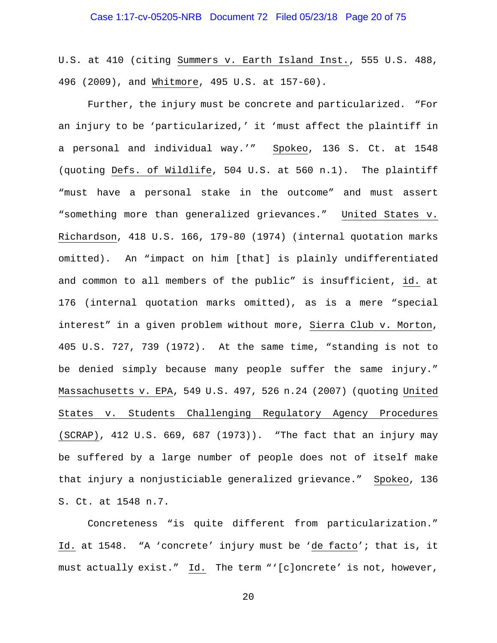U.S. at 410 (citing Summers v. Earth Island Inst., 555 U.S. 488, 496 (2009), and Whitmore, 495 U.S. at 157-60).

Further, the injury must be concrete and particularized. "For an injury to be 'particularized,' it 'must affect the plaintiff in a personal and individual way.'" Spokeo, 136 S. Ct. at 1548 (quoting Defs. of Wildlife, 504 U.S. at 560 n.1). The plaintiff "must have a personal stake in the outcome" and must assert "something more than generalized grievances." United States v. Richardson, 418 U.S. 166, 179-80 (1974) (internal quotation marks omitted). An "impact on him [that] is plainly undifferentiated and common to all members of the public" is insufficient, id. at 176 (internal quotation marks omitted), as is a mere "special interest" in a given problem without more, Sierra Club v. Morton, 405 U.S. 727, 739 (1972). At the same time, "standing is not to be denied simply because many people suffer the same injury." Massachusetts v. EPA, 549 U.S. 497, 526 n.24 (2007) (quoting United States v. Students Challenging Regulatory Agency Procedures (SCRAP), 412 U.S. 669, 687 (1973)). "The fact that an injury may be suffered by a large number of people does not of itself make that injury a nonjusticiable generalized grievance." Spokeo, 136 S. Ct. at 1548 n.7.

Concreteness "is quite different from particularization." Id. at 1548. "A 'concrete' injury must be 'de facto'; that is, it must actually exist." Id. The term "'[c]oncrete' is not, however,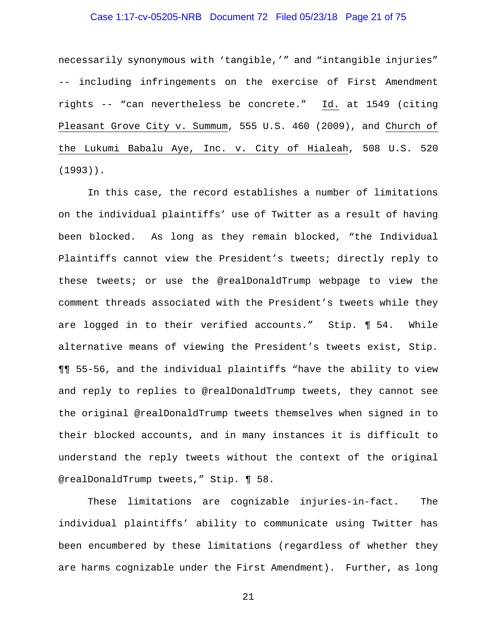## Case 1:17-cv-05205-NRB Document 72 Filed 05/23/18 Page 21 of 75

necessarily synonymous with 'tangible,'" and "intangible injuries" -- including infringements on the exercise of First Amendment rights -- "can nevertheless be concrete." Id. at 1549 (citing Pleasant Grove City v. Summum, 555 U.S. 460 (2009), and Church of the Lukumi Babalu Aye, Inc. v. City of Hialeah, 508 U.S. 520 (1993)).

In this case, the record establishes a number of limitations on the individual plaintiffs' use of Twitter as a result of having been blocked. As long as they remain blocked, "the Individual Plaintiffs cannot view the President's tweets; directly reply to these tweets; or use the @realDonaldTrump webpage to view the comment threads associated with the President's tweets while they are logged in to their verified accounts." Stip. ¶ 54. While alternative means of viewing the President's tweets exist, Stip. ¶¶ 55-56, and the individual plaintiffs "have the ability to view and reply to replies to @realDonaldTrump tweets, they cannot see the original @realDonaldTrump tweets themselves when signed in to their blocked accounts, and in many instances it is difficult to understand the reply tweets without the context of the original @realDonaldTrump tweets," Stip. ¶ 58.

These limitations are cognizable injuries-in-fact. The individual plaintiffs' ability to communicate using Twitter has been encumbered by these limitations (regardless of whether they are harms cognizable under the First Amendment). Further, as long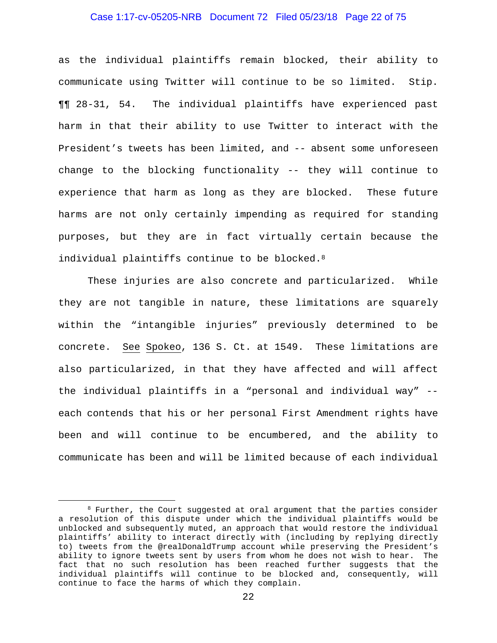## Case 1:17-cv-05205-NRB Document 72 Filed 05/23/18 Page 22 of 75

as the individual plaintiffs remain blocked, their ability to communicate using Twitter will continue to be so limited. Stip. ¶¶ 28-31, 54. The individual plaintiffs have experienced past harm in that their ability to use Twitter to interact with the President's tweets has been limited, and -- absent some unforeseen change to the blocking functionality -- they will continue to experience that harm as long as they are blocked. These future harms are not only certainly impending as required for standing purposes, but they are in fact virtually certain because the individual plaintiffs continue to be blocked.<sup>8</sup>

These injuries are also concrete and particularized. While they are not tangible in nature, these limitations are squarely within the "intangible injuries" previously determined to be concrete. See Spokeo, 136 S. Ct. at 1549. These limitations are also particularized, in that they have affected and will affect the individual plaintiffs in a "personal and individual way" - each contends that his or her personal First Amendment rights have been and will continue to be encumbered, and the ability to communicate has been and will be limited because of each individual

<sup>&</sup>lt;sup>8</sup> Further, the Court suggested at oral argument that the parties consider a resolution of this dispute under which the individual plaintiffs would be unblocked and subsequently muted, an approach that would restore the individual plaintiffs' ability to interact directly with (including by replying directly to) tweets from the @realDonaldTrump account while preserving the President's ability to ignore tweets sent by users from whom he does not wish to hear. The fact that no such resolution has been reached further suggests that the individual plaintiffs will continue to be blocked and, consequently, will continue to face the harms of which they complain.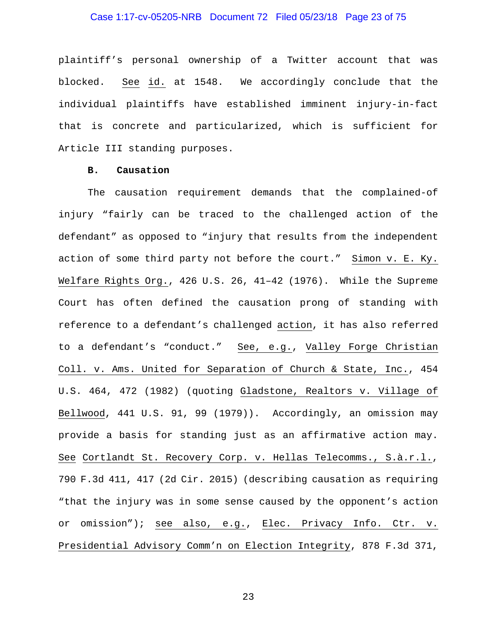## Case 1:17-cv-05205-NRB Document 72 Filed 05/23/18 Page 23 of 75

plaintiff's personal ownership of a Twitter account that was blocked. See id. at 1548. We accordingly conclude that the individual plaintiffs have established imminent injury-in-fact that is concrete and particularized, which is sufficient for Article III standing purposes.

#### **B. Causation**

The causation requirement demands that the complained-of injury "fairly can be traced to the challenged action of the defendant" as opposed to "injury that results from the independent action of some third party not before the court." Simon v. E. Ky. Welfare Rights Org., 426 U.S. 26, 41–42 (1976). While the Supreme Court has often defined the causation prong of standing with reference to a defendant's challenged action, it has also referred to a defendant's "conduct." See, e.g., Valley Forge Christian Coll. v. Ams. United for Separation of Church & State, Inc., 454 U.S. 464, 472 (1982) (quoting Gladstone, Realtors v. Village of Bellwood, 441 U.S. 91, 99 (1979)). Accordingly, an omission may provide a basis for standing just as an affirmative action may. See Cortlandt St. Recovery Corp. v. Hellas Telecomms., S.à.r.l., 790 F.3d 411, 417 (2d Cir. 2015) (describing causation as requiring "that the injury was in some sense caused by the opponent's action or omission"); see also, e.g., Elec. Privacy Info. Ctr. v. Presidential Advisory Comm'n on Election Integrity, 878 F.3d 371,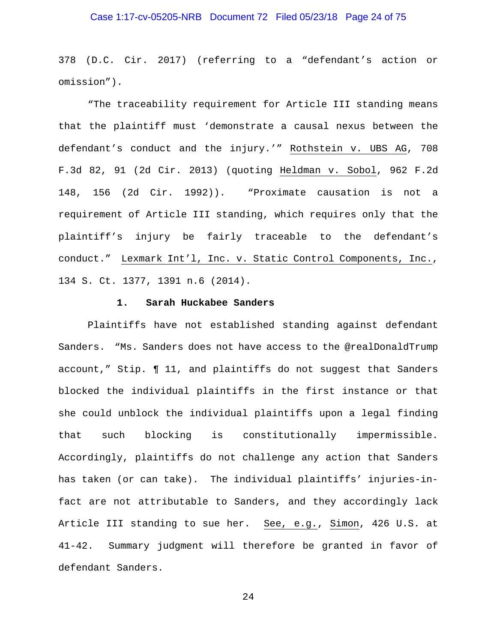## Case 1:17-cv-05205-NRB Document 72 Filed 05/23/18 Page 24 of 75

378 (D.C. Cir. 2017) (referring to a "defendant's action or omission").

"The traceability requirement for Article III standing means that the plaintiff must 'demonstrate a causal nexus between the defendant's conduct and the injury.'" Rothstein v. UBS AG, 708 F.3d 82, 91 (2d Cir. 2013) (quoting Heldman v. Sobol, 962 F.2d 148, 156 (2d Cir. 1992)). "Proximate causation is not a requirement of Article III standing, which requires only that the plaintiff's injury be fairly traceable to the defendant's conduct." Lexmark Int'l, Inc. v. Static Control Components, Inc., 134 S. Ct. 1377, 1391 n.6 (2014).

#### **1. Sarah Huckabee Sanders**

Plaintiffs have not established standing against defendant Sanders. "Ms. Sanders does not have access to the @realDonaldTrump account," Stip. ¶ 11, and plaintiffs do not suggest that Sanders blocked the individual plaintiffs in the first instance or that she could unblock the individual plaintiffs upon a legal finding that such blocking is constitutionally impermissible. Accordingly, plaintiffs do not challenge any action that Sanders has taken (or can take). The individual plaintiffs' injuries-infact are not attributable to Sanders, and they accordingly lack Article III standing to sue her. See, e.g., Simon, 426 U.S. at 41-42. Summary judgment will therefore be granted in favor of defendant Sanders.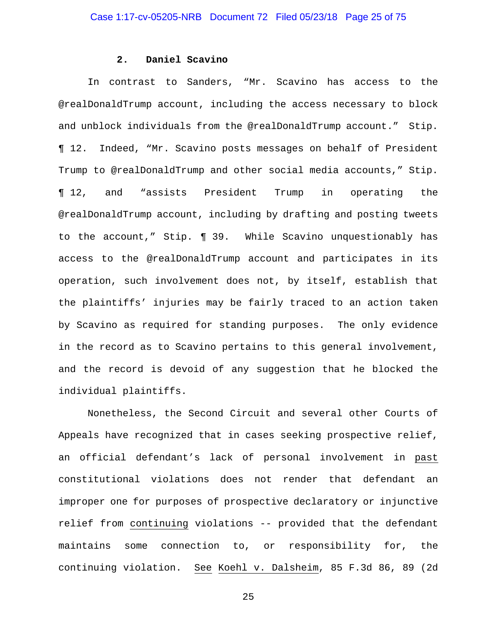#### **2. Daniel Scavino**

In contrast to Sanders, "Mr. Scavino has access to the @realDonaldTrump account, including the access necessary to block and unblock individuals from the @realDonaldTrump account." Stip. ¶ 12. Indeed, "Mr. Scavino posts messages on behalf of President Trump to @realDonaldTrump and other social media accounts," Stip. ¶ 12, and "assists President Trump in operating the @realDonaldTrump account, including by drafting and posting tweets to the account," Stip. ¶ 39. While Scavino unquestionably has access to the @realDonaldTrump account and participates in its operation, such involvement does not, by itself, establish that the plaintiffs' injuries may be fairly traced to an action taken by Scavino as required for standing purposes. The only evidence in the record as to Scavino pertains to this general involvement, and the record is devoid of any suggestion that he blocked the individual plaintiffs.

Nonetheless, the Second Circuit and several other Courts of Appeals have recognized that in cases seeking prospective relief, an official defendant's lack of personal involvement in past constitutional violations does not render that defendant an improper one for purposes of prospective declaratory or injunctive relief from continuing violations -- provided that the defendant maintains some connection to, or responsibility for, the continuing violation. See Koehl v. Dalsheim, 85 F.3d 86, 89 (2d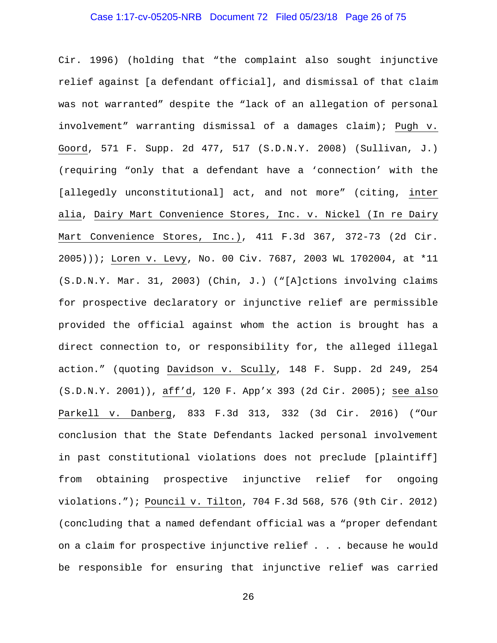## Case 1:17-cv-05205-NRB Document 72 Filed 05/23/18 Page 26 of 75

Cir. 1996) (holding that "the complaint also sought injunctive relief against [a defendant official], and dismissal of that claim was not warranted" despite the "lack of an allegation of personal involvement" warranting dismissal of a damages claim); Pugh v. Goord, 571 F. Supp. 2d 477, 517 (S.D.N.Y. 2008) (Sullivan, J.) (requiring "only that a defendant have a 'connection' with the [allegedly unconstitutional] act, and not more" (citing, inter alia, Dairy Mart Convenience Stores, Inc. v. Nickel (In re Dairy Mart Convenience Stores, Inc.), 411 F.3d 367, 372-73 (2d Cir. 2005))); Loren v. Levy, No. 00 Civ. 7687, 2003 WL 1702004, at \*11 (S.D.N.Y. Mar. 31, 2003) (Chin, J.) ("[A]ctions involving claims for prospective declaratory or injunctive relief are permissible provided the official against whom the action is brought has a direct connection to, or responsibility for, the alleged illegal action." (quoting Davidson v. Scully, 148 F. Supp. 2d 249, 254 (S.D.N.Y. 2001)), aff'd, 120 F. App'x 393 (2d Cir. 2005); see also Parkell v. Danberg, 833 F.3d 313, 332 (3d Cir. 2016) ("Our conclusion that the State Defendants lacked personal involvement in past constitutional violations does not preclude [plaintiff] from obtaining prospective injunctive relief for ongoing violations."); Pouncil v. Tilton, 704 F.3d 568, 576 (9th Cir. 2012) (concluding that a named defendant official was a "proper defendant on a claim for prospective injunctive relief . . . because he would be responsible for ensuring that injunctive relief was carried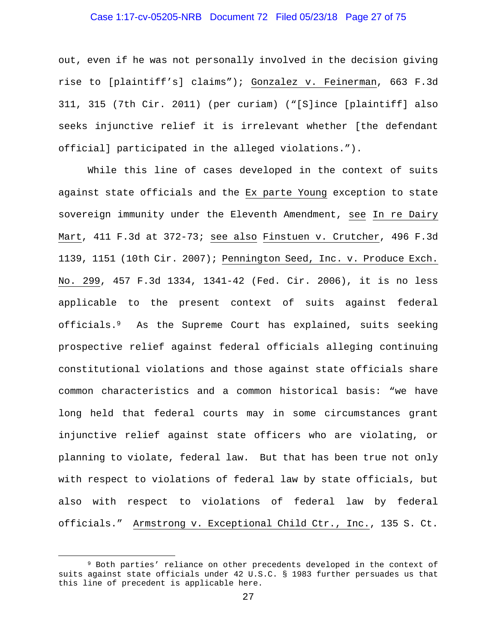## Case 1:17-cv-05205-NRB Document 72 Filed 05/23/18 Page 27 of 75

out, even if he was not personally involved in the decision giving rise to [plaintiff's] claims"); Gonzalez v. Feinerman, 663 F.3d 311, 315 (7th Cir. 2011) (per curiam) ("[S]ince [plaintiff] also seeks injunctive relief it is irrelevant whether [the defendant official] participated in the alleged violations.").

While this line of cases developed in the context of suits against state officials and the Ex parte Young exception to state sovereign immunity under the Eleventh Amendment, see In re Dairy Mart, 411 F.3d at 372-73; see also Finstuen v. Crutcher, 496 F.3d 1139, 1151 (10th Cir. 2007); Pennington Seed, Inc. v. Produce Exch. No. 299, 457 F.3d 1334, 1341-42 (Fed. Cir. 2006), it is no less applicable to the present context of suits against federal officials.9 As the Supreme Court has explained, suits seeking prospective relief against federal officials alleging continuing constitutional violations and those against state officials share common characteristics and a common historical basis: "we have long held that federal courts may in some circumstances grant injunctive relief against state officers who are violating, or planning to violate, federal law. But that has been true not only with respect to violations of federal law by state officials, but also with respect to violations of federal law by federal officials." Armstrong v. Exceptional Child Ctr., Inc., 135 S. Ct.

 <sup>9</sup> Both parties' reliance on other precedents developed in the context of suits against state officials under 42 U.S.C. § 1983 further persuades us that this line of precedent is applicable here.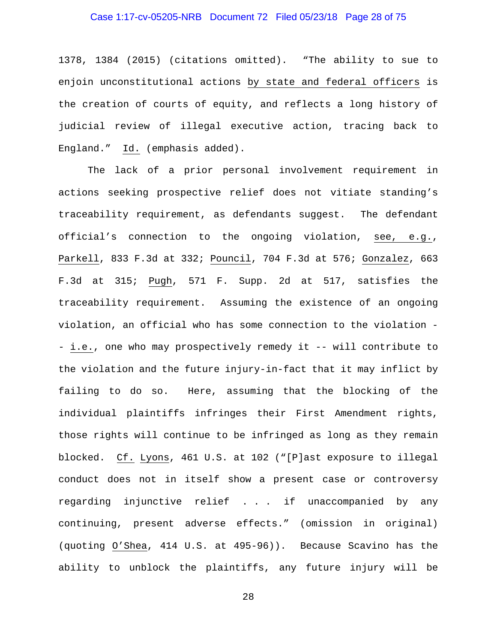## Case 1:17-cv-05205-NRB Document 72 Filed 05/23/18 Page 28 of 75

1378, 1384 (2015) (citations omitted). "The ability to sue to enjoin unconstitutional actions by state and federal officers is the creation of courts of equity, and reflects a long history of judicial review of illegal executive action, tracing back to England." Id. (emphasis added).

The lack of a prior personal involvement requirement in actions seeking prospective relief does not vitiate standing's traceability requirement, as defendants suggest. The defendant official's connection to the ongoing violation, see, e.g., Parkell, 833 F.3d at 332; Pouncil, 704 F.3d at 576; Gonzalez, 663 F.3d at 315; Pugh, 571 F. Supp. 2d at 517, satisfies the traceability requirement. Assuming the existence of an ongoing violation, an official who has some connection to the violation - - i.e., one who may prospectively remedy it -- will contribute to the violation and the future injury-in-fact that it may inflict by failing to do so. Here, assuming that the blocking of the individual plaintiffs infringes their First Amendment rights, those rights will continue to be infringed as long as they remain blocked. Cf. Lyons, 461 U.S. at 102 ("[P]ast exposure to illegal conduct does not in itself show a present case or controversy regarding injunctive relief . . . if unaccompanied by any continuing, present adverse effects." (omission in original) (quoting O'Shea, 414 U.S. at 495-96)). Because Scavino has the ability to unblock the plaintiffs, any future injury will be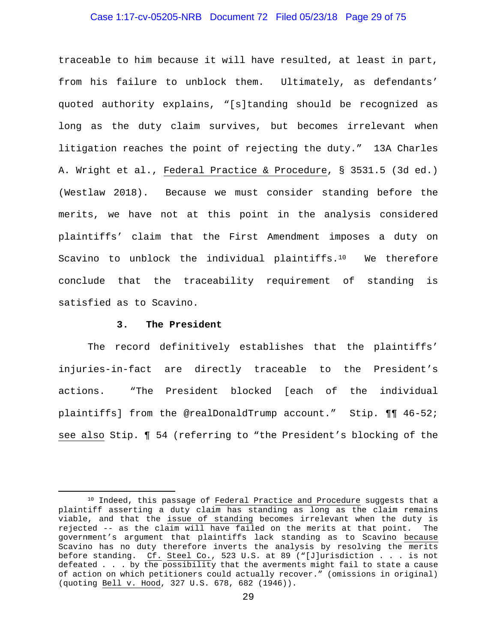## Case 1:17-cv-05205-NRB Document 72 Filed 05/23/18 Page 29 of 75

traceable to him because it will have resulted, at least in part, from his failure to unblock them. Ultimately, as defendants' quoted authority explains, "[s]tanding should be recognized as long as the duty claim survives, but becomes irrelevant when litigation reaches the point of rejecting the duty." 13A Charles A. Wright et al., Federal Practice & Procedure, § 3531.5 (3d ed.) (Westlaw 2018). Because we must consider standing before the merits, we have not at this point in the analysis considered plaintiffs' claim that the First Amendment imposes a duty on Scavino to unblock the individual plaintiffs.<sup>10</sup> We therefore conclude that the traceability requirement of standing is satisfied as to Scavino.

#### **3. The President**

The record definitively establishes that the plaintiffs' injuries-in-fact are directly traceable to the President's actions. "The President blocked [each of the individual plaintiffs] from the @realDonaldTrump account." Stip. ¶¶ 46-52; see also Stip. ¶ 54 (referring to "the President's blocking of the

<sup>&</sup>lt;sup>10</sup> Indeed, this passage of Federal Practice and Procedure suggests that a plaintiff asserting a duty claim has standing as long as the claim remains viable, and that the issue of standing becomes irrelevant when the duty is rejected -- as the claim will have failed on the merits at that point. The government's argument that plaintiffs lack standing as to Scavino because Scavino has no duty therefore inverts the analysis by resolving the merits before standing. Cf. Steel Co., 523 U.S. at 89 ("[J]urisdiction . . . is not defeated . . . by the possibility that the averments might fail to state a cause of action on which petitioners could actually recover." (omissions in original) (quoting Bell v. Hood, 327 U.S. 678, 682 (1946)).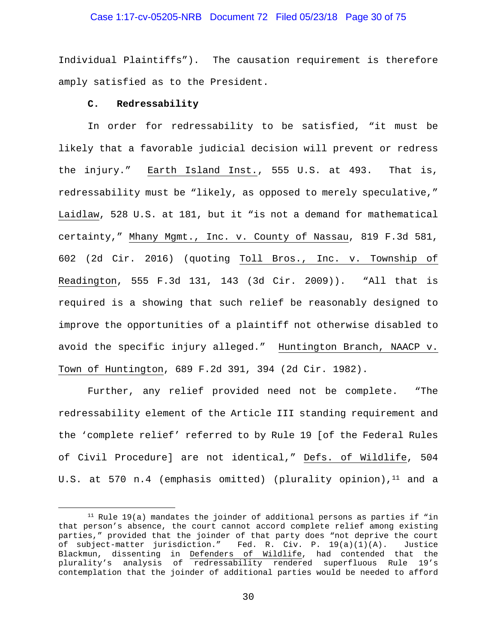#### Case 1:17-cv-05205-NRB Document 72 Filed 05/23/18 Page 30 of 75

Individual Plaintiffs"). The causation requirement is therefore amply satisfied as to the President.

#### **C. Redressability**

In order for redressability to be satisfied, "it must be likely that a favorable judicial decision will prevent or redress the injury." Earth Island Inst., 555 U.S. at 493. That is, redressability must be "likely, as opposed to merely speculative," Laidlaw, 528 U.S. at 181, but it "is not a demand for mathematical certainty," Mhany Mgmt., Inc. v. County of Nassau, 819 F.3d 581, 602 (2d Cir. 2016) (quoting Toll Bros., Inc. v. Township of Readington, 555 F.3d 131, 143 (3d Cir. 2009)). "All that is required is a showing that such relief be reasonably designed to improve the opportunities of a plaintiff not otherwise disabled to avoid the specific injury alleged." Huntington Branch, NAACP v. Town of Huntington, 689 F.2d 391, 394 (2d Cir. 1982).

Further, any relief provided need not be complete. "The redressability element of the Article III standing requirement and the 'complete relief' referred to by Rule 19 [of the Federal Rules of Civil Procedure] are not identical," Defs. of Wildlife, 504 U.S. at 570 n.4 (emphasis omitted) (plurality opinion),  $11$  and a

 $11$  Rule 19(a) mandates the joinder of additional persons as parties if "in that person's absence, the court cannot accord complete relief among existing parties," provided that the joinder of that party does "not deprive the court of subject-matter jurisdiction." Fed. R. Civ. P. 19(a)(1)(A). Justice Blackmun, dissenting in Defenders of Wildlife, had contended that the plurality's analysis of redressability rendered superfluous Rule 19's contemplation that the joinder of additional parties would be needed to afford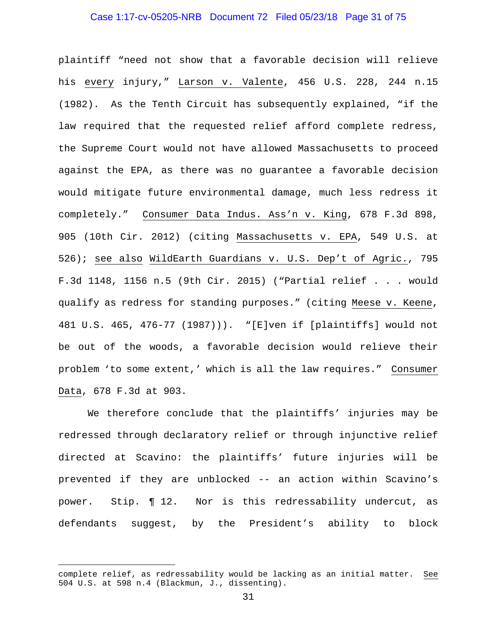## Case 1:17-cv-05205-NRB Document 72 Filed 05/23/18 Page 31 of 75

plaintiff "need not show that a favorable decision will relieve his every injury," Larson v. Valente, 456 U.S. 228, 244 n.15 (1982). As the Tenth Circuit has subsequently explained, "if the law required that the requested relief afford complete redress, the Supreme Court would not have allowed Massachusetts to proceed against the EPA, as there was no guarantee a favorable decision would mitigate future environmental damage, much less redress it completely." Consumer Data Indus. Ass'n v. King, 678 F.3d 898, 905 (10th Cir. 2012) (citing Massachusetts v. EPA, 549 U.S. at 526); see also WildEarth Guardians v. U.S. Dep't of Agric., 795 F.3d 1148, 1156 n.5 (9th Cir. 2015) ("Partial relief . . . would qualify as redress for standing purposes." (citing Meese v. Keene, 481 U.S. 465, 476-77 (1987))). "[E]ven if [plaintiffs] would not be out of the woods, a favorable decision would relieve their problem 'to some extent,' which is all the law requires." Consumer Data, 678 F.3d at 903.

We therefore conclude that the plaintiffs' injuries may be redressed through declaratory relief or through injunctive relief directed at Scavino: the plaintiffs' future injuries will be prevented if they are unblocked -- an action within Scavino's power. Stip. ¶ 12. Nor is this redressability undercut, as defendants suggest, by the President's ability to block

i<br>Li

complete relief, as redressability would be lacking as an initial matter. See 504 U.S. at 598 n.4 (Blackmun, J., dissenting).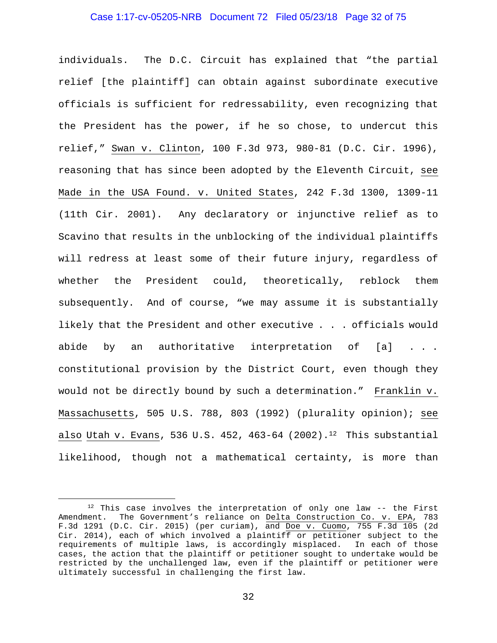#### Case 1:17-cv-05205-NRB Document 72 Filed 05/23/18 Page 32 of 75

individuals. The D.C. Circuit has explained that "the partial relief [the plaintiff] can obtain against subordinate executive officials is sufficient for redressability, even recognizing that the President has the power, if he so chose, to undercut this relief," Swan v. Clinton, 100 F.3d 973, 980-81 (D.C. Cir. 1996), reasoning that has since been adopted by the Eleventh Circuit, see Made in the USA Found. v. United States, 242 F.3d 1300, 1309-11 (11th Cir. 2001). Any declaratory or injunctive relief as to Scavino that results in the unblocking of the individual plaintiffs will redress at least some of their future injury, regardless of whether the President could, theoretically, reblock them subsequently. And of course, "we may assume it is substantially likely that the President and other executive . . . officials would abide by an authoritative interpretation of [a] ... constitutional provision by the District Court, even though they would not be directly bound by such a determination." Franklin v. Massachusetts, 505 U.S. 788, 803 (1992) (plurality opinion); see also Utah v. Evans, 536 U.S. 452, 463-64 (2002).<sup>12</sup> This substantial likelihood, though not a mathematical certainty, is more than

 <sup>12</sup> This case involves the interpretation of only one law -- the First Amendment. The Government's reliance on Delta Construction Co. v. EPA, 783 F.3d 1291 (D.C. Cir. 2015) (per curiam), and Doe v. Cuomo, 755 F.3d 105 (2d Cir. 2014), each of which involved a plaintiff or petitioner subject to the requirements of multiple laws, is accordingly misplaced. In each of those cases, the action that the plaintiff or petitioner sought to undertake would be restricted by the unchallenged law, even if the plaintiff or petitioner were ultimately successful in challenging the first law.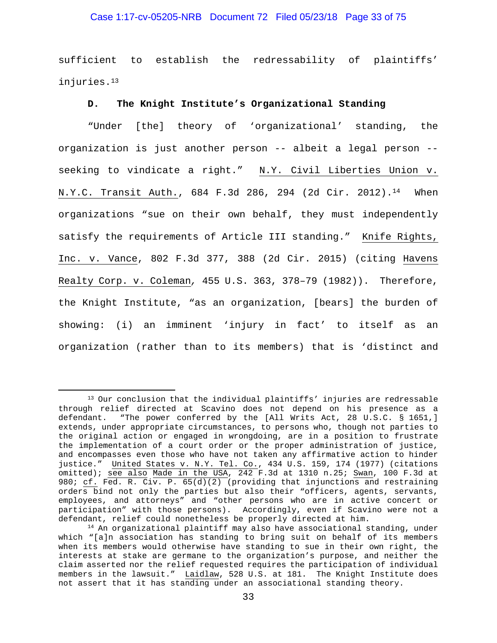## Case 1:17-cv-05205-NRB Document 72 Filed 05/23/18 Page 33 of 75

sufficient to establish the redressability of plaintiffs' injuries.13

#### **D. The Knight Institute's Organizational Standing**

"Under [the] theory of 'organizational' standing, the organization is just another person -- albeit a legal person - seeking to vindicate a right." N.Y. Civil Liberties Union v. N.Y.C. Transit Auth., 684 F.3d 286, 294 (2d Cir. 2012).14 When organizations "sue on their own behalf, they must independently satisfy the requirements of Article III standing." Knife Rights, Inc. v. Vance, 802 F.3d 377, 388 (2d Cir. 2015) (citing Havens Realty Corp. v. Coleman*,* 455 U.S. 363, 378–79 (1982)). Therefore, the Knight Institute, "as an organization, [bears] the burden of showing: (i) an imminent 'injury in fact' to itself as an organization (rather than to its members) that is 'distinct and

<sup>&</sup>lt;sup>13</sup> Our conclusion that the individual plaintiffs' injuries are redressable through relief directed at Scavino does not depend on his presence as a defendant. "The power conferred by the [All Writs Act, 28 U.S.C. § 1651,] extends, under appropriate circumstances, to persons who, though not parties to the original action or engaged in wrongdoing, are in a position to frustrate the implementation of a court order or the proper administration of justice, and encompasses even those who have not taken any affirmative action to hinder justice." United States v. N.Y. Tel. Co., 434 U.S. 159, 174 (1977) (citations omitted); see also Made in the USA, 242 F.3d at 1310 n.25; Swan, 100 F.3d at 980; cf. Fed. R. Civ. P. 65(d)(2) (providing that injunctions and restraining orders bind not only the parties but also their "officers, agents, servants, employees, and attorneys" and "other persons who are in active concert or participation" with those persons). Accordingly, even if Scavino were not a defendant, relief could nonetheless be properly directed at him.

 $14$  An organizational plaintiff may also have associational standing, under which "[a]n association has standing to bring suit on behalf of its members when its members would otherwise have standing to sue in their own right, the interests at stake are germane to the organization's purpose, and neither the claim asserted nor the relief requested requires the participation of individual members in the lawsuit." Laidlaw, 528 U.S. at 181. The Knight Institute does not assert that it has standing under an associational standing theory.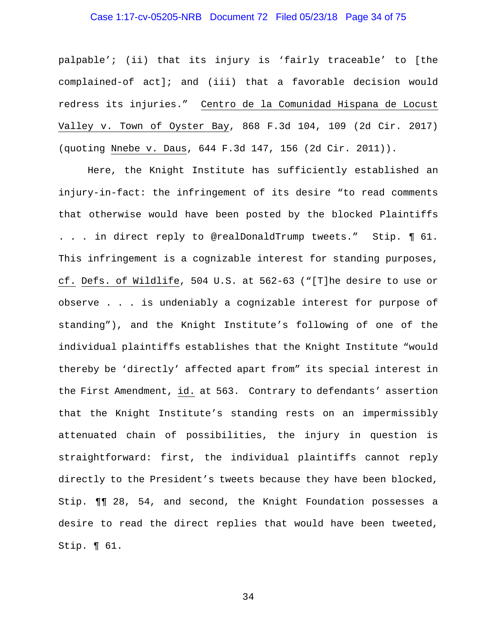# Case 1:17-cv-05205-NRB Document 72 Filed 05/23/18 Page 34 of 75

palpable'; (ii) that its injury is 'fairly traceable' to [the complained-of act]; and (iii) that a favorable decision would redress its injuries." Centro de la Comunidad Hispana de Locust Valley v. Town of Oyster Bay, 868 F.3d 104, 109 (2d Cir. 2017) (quoting Nnebe v. Daus, 644 F.3d 147, 156 (2d Cir. 2011)).

Here, the Knight Institute has sufficiently established an injury-in-fact: the infringement of its desire "to read comments that otherwise would have been posted by the blocked Plaintiffs . . . in direct reply to @realDonaldTrump tweets." Stip. ¶ 61. This infringement is a cognizable interest for standing purposes, cf. Defs. of Wildlife, 504 U.S. at 562-63 ("[T]he desire to use or observe . . . is undeniably a cognizable interest for purpose of standing"), and the Knight Institute's following of one of the individual plaintiffs establishes that the Knight Institute "would thereby be 'directly' affected apart from" its special interest in the First Amendment, id. at 563. Contrary to defendants' assertion that the Knight Institute's standing rests on an impermissibly attenuated chain of possibilities, the injury in question is straightforward: first, the individual plaintiffs cannot reply directly to the President's tweets because they have been blocked, Stip. ¶¶ 28, 54, and second, the Knight Foundation possesses a desire to read the direct replies that would have been tweeted, Stip. ¶ 61.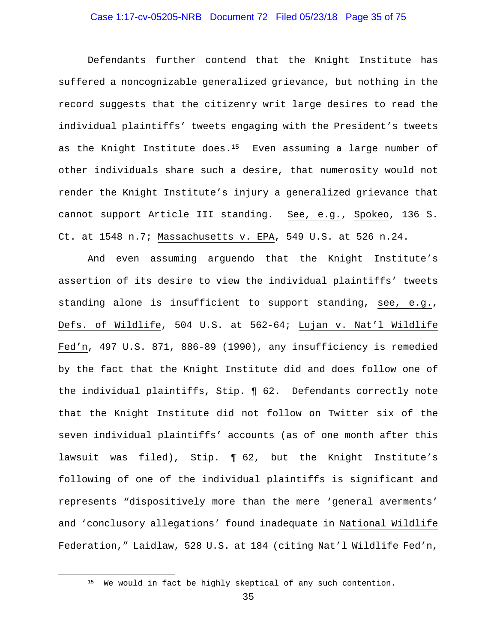## Case 1:17-cv-05205-NRB Document 72 Filed 05/23/18 Page 35 of 75

Defendants further contend that the Knight Institute has suffered a noncognizable generalized grievance, but nothing in the record suggests that the citizenry writ large desires to read the individual plaintiffs' tweets engaging with the President's tweets as the Knight Institute does.<sup>15</sup> Even assuming a large number of other individuals share such a desire, that numerosity would not render the Knight Institute's injury a generalized grievance that cannot support Article III standing. See, e.g., Spokeo, 136 S. Ct. at 1548 n.7; Massachusetts v. EPA, 549 U.S. at 526 n.24.

And even assuming arguendo that the Knight Institute's assertion of its desire to view the individual plaintiffs' tweets standing alone is insufficient to support standing, see, e.g., Defs. of Wildlife, 504 U.S. at 562-64; Lujan v. Nat'l Wildlife Fed'n, 497 U.S. 871, 886-89 (1990), any insufficiency is remedied by the fact that the Knight Institute did and does follow one of the individual plaintiffs, Stip. ¶ 62. Defendants correctly note that the Knight Institute did not follow on Twitter six of the seven individual plaintiffs' accounts (as of one month after this lawsuit was filed), Stip. ¶ 62, but the Knight Institute's following of one of the individual plaintiffs is significant and represents "dispositively more than the mere 'general averments' and 'conclusory allegations' found inadequate in National Wildlife Federation," Laidlaw, 528 U.S. at 184 (citing Nat'l Wildlife Fed'n,

<sup>&</sup>lt;sup>15</sup> We would in fact be highly skeptical of any such contention.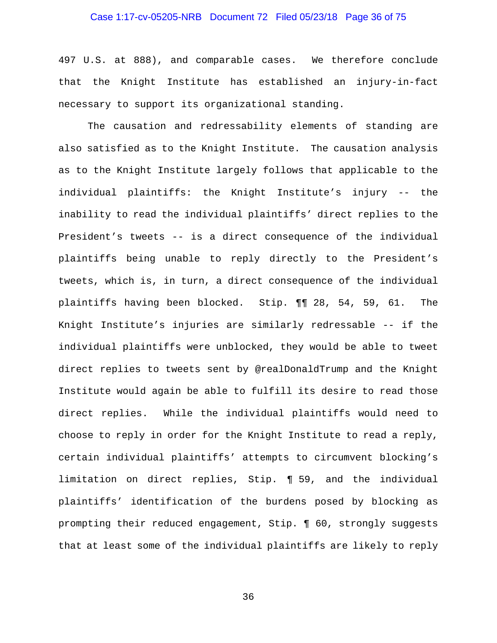# Case 1:17-cv-05205-NRB Document 72 Filed 05/23/18 Page 36 of 75

497 U.S. at 888), and comparable cases. We therefore conclude that the Knight Institute has established an injury-in-fact necessary to support its organizational standing.

The causation and redressability elements of standing are also satisfied as to the Knight Institute. The causation analysis as to the Knight Institute largely follows that applicable to the individual plaintiffs: the Knight Institute's injury -- the inability to read the individual plaintiffs' direct replies to the President's tweets -- is a direct consequence of the individual plaintiffs being unable to reply directly to the President's tweets, which is, in turn, a direct consequence of the individual plaintiffs having been blocked. Stip. ¶¶ 28, 54, 59, 61. The Knight Institute's injuries are similarly redressable -- if the individual plaintiffs were unblocked, they would be able to tweet direct replies to tweets sent by @realDonaldTrump and the Knight Institute would again be able to fulfill its desire to read those direct replies. While the individual plaintiffs would need to choose to reply in order for the Knight Institute to read a reply, certain individual plaintiffs' attempts to circumvent blocking's limitation on direct replies, Stip. ¶ 59, and the individual plaintiffs' identification of the burdens posed by blocking as prompting their reduced engagement, Stip. ¶ 60, strongly suggests that at least some of the individual plaintiffs are likely to reply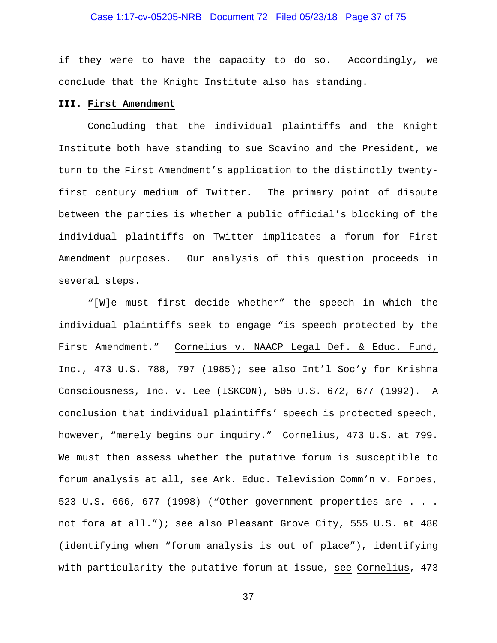## Case 1:17-cv-05205-NRB Document 72 Filed 05/23/18 Page 37 of 75

if they were to have the capacity to do so. Accordingly, we conclude that the Knight Institute also has standing.

#### **III. First Amendment**

Concluding that the individual plaintiffs and the Knight Institute both have standing to sue Scavino and the President, we turn to the First Amendment's application to the distinctly twentyfirst century medium of Twitter. The primary point of dispute between the parties is whether a public official's blocking of the individual plaintiffs on Twitter implicates a forum for First Amendment purposes. Our analysis of this question proceeds in several steps.

"[W]e must first decide whether" the speech in which the individual plaintiffs seek to engage "is speech protected by the First Amendment." Cornelius v. NAACP Legal Def. & Educ. Fund, Inc., 473 U.S. 788, 797 (1985); see also Int'l Soc'y for Krishna Consciousness, Inc. v. Lee (ISKCON), 505 U.S. 672, 677 (1992). A conclusion that individual plaintiffs' speech is protected speech, however, "merely begins our inquiry." Cornelius, 473 U.S. at 799. We must then assess whether the putative forum is susceptible to forum analysis at all, see Ark. Educ. Television Comm'n v. Forbes, 523 U.S. 666, 677 (1998) ("Other government properties are . . . not fora at all."); see also Pleasant Grove City, 555 U.S. at 480 (identifying when "forum analysis is out of place"), identifying with particularity the putative forum at issue, see Cornelius, 473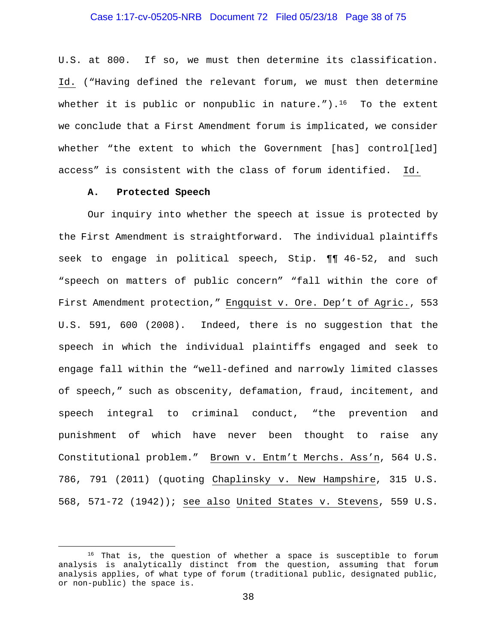## Case 1:17-cv-05205-NRB Document 72 Filed 05/23/18 Page 38 of 75

U.S. at 800. If so, we must then determine its classification. Id. ("Having defined the relevant forum, we must then determine whether it is public or nonpublic in nature.").<sup>16</sup> To the extent we conclude that a First Amendment forum is implicated, we consider whether "the extent to which the Government [has] control[led] access" is consistent with the class of forum identified. Id.

#### **A. Protected Speech**

Our inquiry into whether the speech at issue is protected by the First Amendment is straightforward. The individual plaintiffs seek to engage in political speech, Stip. ¶¶ 46-52, and such "speech on matters of public concern" "fall within the core of First Amendment protection," Engquist v. Ore. Dep't of Agric., 553 U.S. 591, 600 (2008). Indeed, there is no suggestion that the speech in which the individual plaintiffs engaged and seek to engage fall within the "well-defined and narrowly limited classes of speech," such as obscenity, defamation, fraud, incitement, and speech integral to criminal conduct, "the prevention and punishment of which have never been thought to raise any Constitutional problem." Brown v. Entm't Merchs. Ass'n, 564 U.S. 786, 791 (2011) (quoting Chaplinsky v. New Hampshire, 315 U.S. 568, 571-72 (1942)); see also United States v. Stevens, 559 U.S.

<sup>&</sup>lt;sup>16</sup> That is, the question of whether a space is susceptible to forum analysis is analytically distinct from the question, assuming that forum analysis applies, of what type of forum (traditional public, designated public, or non-public) the space is.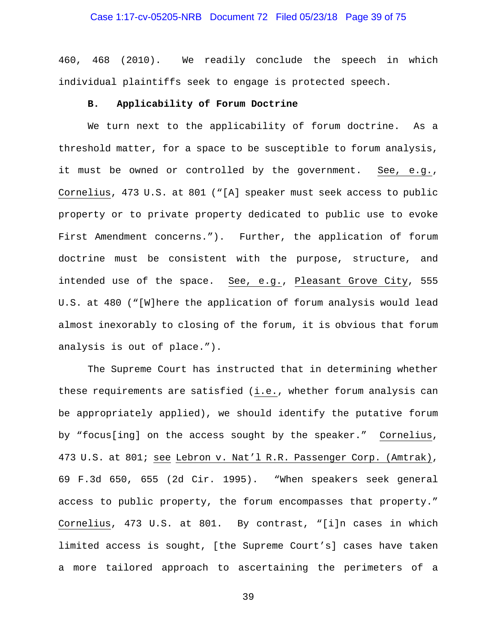## Case 1:17-cv-05205-NRB Document 72 Filed 05/23/18 Page 39 of 75

460, 468 (2010). We readily conclude the speech in which individual plaintiffs seek to engage is protected speech.

#### **B. Applicability of Forum Doctrine**

We turn next to the applicability of forum doctrine. As a threshold matter, for a space to be susceptible to forum analysis, it must be owned or controlled by the government. See, e.g., Cornelius, 473 U.S. at 801 ("[A] speaker must seek access to public property or to private property dedicated to public use to evoke First Amendment concerns."). Further, the application of forum doctrine must be consistent with the purpose, structure, and intended use of the space. See, e.g., Pleasant Grove City, 555 U.S. at 480 ("[W]here the application of forum analysis would lead almost inexorably to closing of the forum, it is obvious that forum analysis is out of place.").

The Supreme Court has instructed that in determining whether these requirements are satisfied (i.e., whether forum analysis can be appropriately applied), we should identify the putative forum by "focus[ing] on the access sought by the speaker." Cornelius, 473 U.S. at 801; see Lebron v. Nat'l R.R. Passenger Corp. (Amtrak), 69 F.3d 650, 655 (2d Cir. 1995). "When speakers seek general access to public property, the forum encompasses that property." Cornelius, 473 U.S. at 801. By contrast, "[i]n cases in which limited access is sought, [the Supreme Court's] cases have taken a more tailored approach to ascertaining the perimeters of a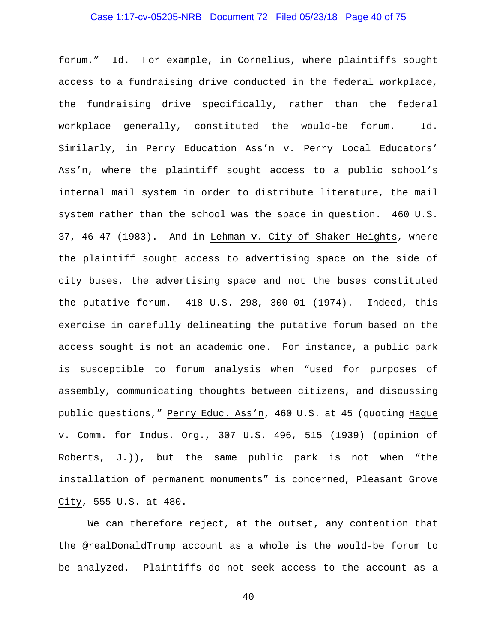## Case 1:17-cv-05205-NRB Document 72 Filed 05/23/18 Page 40 of 75

forum." Id. For example, in Cornelius, where plaintiffs sought access to a fundraising drive conducted in the federal workplace, the fundraising drive specifically, rather than the federal workplace generally, constituted the would-be forum. Id. Similarly, in Perry Education Ass'n v. Perry Local Educators' Ass'n, where the plaintiff sought access to a public school's internal mail system in order to distribute literature, the mail system rather than the school was the space in question. 460 U.S. 37, 46-47 (1983). And in Lehman v. City of Shaker Heights, where the plaintiff sought access to advertising space on the side of city buses, the advertising space and not the buses constituted the putative forum. 418 U.S. 298, 300-01 (1974). Indeed, this exercise in carefully delineating the putative forum based on the access sought is not an academic one. For instance, a public park is susceptible to forum analysis when "used for purposes of assembly, communicating thoughts between citizens, and discussing public questions," Perry Educ. Ass'n, 460 U.S. at 45 (quoting Hague v. Comm. for Indus. Org., 307 U.S. 496, 515 (1939) (opinion of Roberts, J.)), but the same public park is not when "the installation of permanent monuments" is concerned, Pleasant Grove City, 555 U.S. at 480.

We can therefore reject, at the outset, any contention that the @realDonaldTrump account as a whole is the would-be forum to be analyzed. Plaintiffs do not seek access to the account as a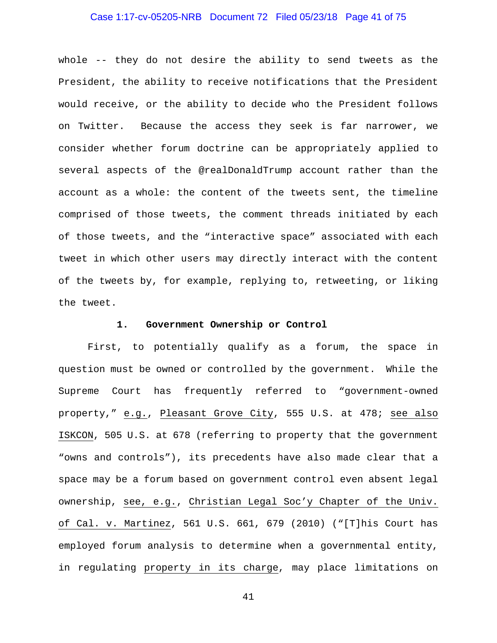# Case 1:17-cv-05205-NRB Document 72 Filed 05/23/18 Page 41 of 75

whole -- they do not desire the ability to send tweets as the President, the ability to receive notifications that the President would receive, or the ability to decide who the President follows on Twitter. Because the access they seek is far narrower, we consider whether forum doctrine can be appropriately applied to several aspects of the @realDonaldTrump account rather than the account as a whole: the content of the tweets sent, the timeline comprised of those tweets, the comment threads initiated by each of those tweets, and the "interactive space" associated with each tweet in which other users may directly interact with the content of the tweets by, for example, replying to, retweeting, or liking the tweet.

#### **1. Government Ownership or Control**

First, to potentially qualify as a forum, the space in question must be owned or controlled by the government. While the Supreme Court has frequently referred to "government-owned property," e.g., Pleasant Grove City, 555 U.S. at 478; see also ISKCON, 505 U.S. at 678 (referring to property that the government "owns and controls"), its precedents have also made clear that a space may be a forum based on government control even absent legal ownership, see, e.g., Christian Legal Soc'y Chapter of the Univ. of Cal. v. Martinez, 561 U.S. 661, 679 (2010) ("[T]his Court has employed forum analysis to determine when a governmental entity, in regulating property in its charge, may place limitations on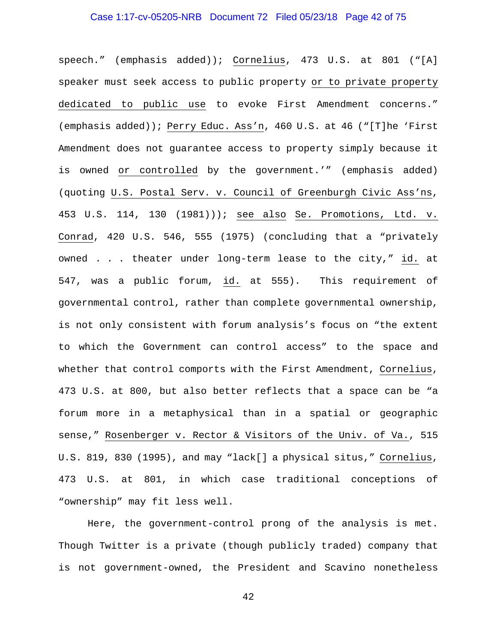# Case 1:17-cv-05205-NRB Document 72 Filed 05/23/18 Page 42 of 75

speech." (emphasis added)); Cornelius, 473 U.S. at 801 ("[A] speaker must seek access to public property or to private property dedicated to public use to evoke First Amendment concerns." (emphasis added)); Perry Educ. Ass'n, 460 U.S. at 46 ("[T]he 'First Amendment does not guarantee access to property simply because it is owned or controlled by the government.'" (emphasis added) (quoting U.S. Postal Serv. v. Council of Greenburgh Civic Ass'ns, 453 U.S. 114, 130 (1981))); see also Se. Promotions, Ltd. v. Conrad, 420 U.S. 546, 555 (1975) (concluding that a "privately owned . . . theater under long-term lease to the city," id. at 547, was a public forum, id. at 555). This requirement of governmental control, rather than complete governmental ownership, is not only consistent with forum analysis's focus on "the extent to which the Government can control access" to the space and whether that control comports with the First Amendment, Cornelius, 473 U.S. at 800, but also better reflects that a space can be "a forum more in a metaphysical than in a spatial or geographic sense," Rosenberger v. Rector & Visitors of the Univ. of Va., 515 U.S. 819, 830 (1995), and may "lack[] a physical situs," Cornelius, 473 U.S. at 801, in which case traditional conceptions of "ownership" may fit less well.

Here, the government-control prong of the analysis is met. Though Twitter is a private (though publicly traded) company that is not government-owned, the President and Scavino nonetheless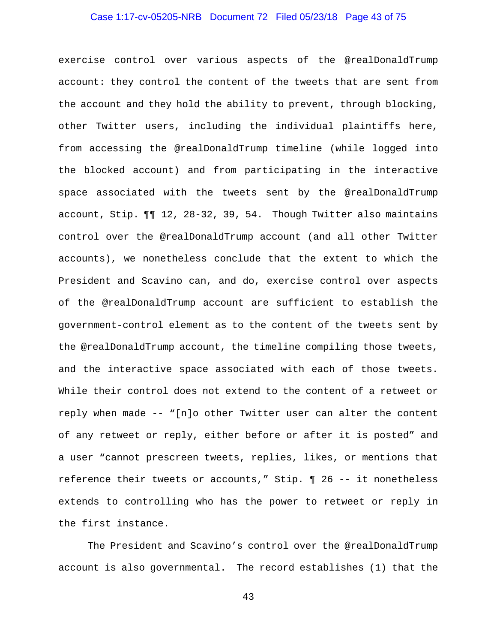## Case 1:17-cv-05205-NRB Document 72 Filed 05/23/18 Page 43 of 75

exercise control over various aspects of the @realDonaldTrump account: they control the content of the tweets that are sent from the account and they hold the ability to prevent, through blocking, other Twitter users, including the individual plaintiffs here, from accessing the @realDonaldTrump timeline (while logged into the blocked account) and from participating in the interactive space associated with the tweets sent by the @realDonaldTrump account, Stip. ¶¶ 12, 28-32, 39, 54. Though Twitter also maintains control over the @realDonaldTrump account (and all other Twitter accounts), we nonetheless conclude that the extent to which the President and Scavino can, and do, exercise control over aspects of the @realDonaldTrump account are sufficient to establish the government-control element as to the content of the tweets sent by the @realDonaldTrump account, the timeline compiling those tweets, and the interactive space associated with each of those tweets. While their control does not extend to the content of a retweet or reply when made -- "[n]o other Twitter user can alter the content of any retweet or reply, either before or after it is posted" and a user "cannot prescreen tweets, replies, likes, or mentions that reference their tweets or accounts," Stip. ¶ 26 -- it nonetheless extends to controlling who has the power to retweet or reply in the first instance.

The President and Scavino's control over the @realDonaldTrump account is also governmental. The record establishes (1) that the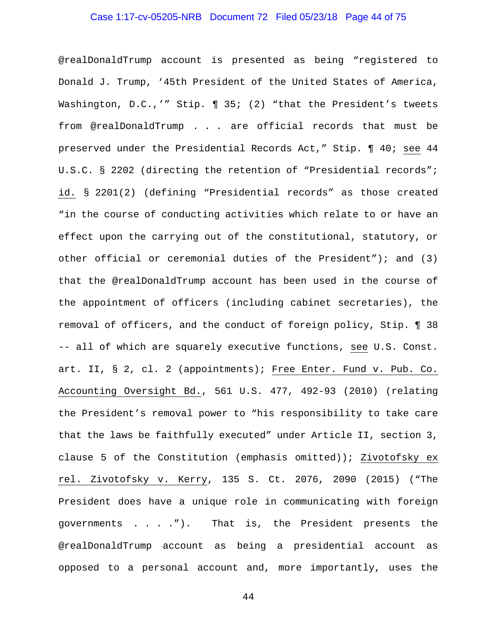## Case 1:17-cv-05205-NRB Document 72 Filed 05/23/18 Page 44 of 75

@realDonaldTrump account is presented as being "registered to Donald J. Trump, '45th President of the United States of America, Washington, D.C.,'" Stip. 1 35; (2) "that the President's tweets from @realDonaldTrump . . . are official records that must be preserved under the Presidential Records Act," Stip. ¶ 40; see 44 U.S.C. § 2202 (directing the retention of "Presidential records"; id. § 2201(2) (defining "Presidential records" as those created "in the course of conducting activities which relate to or have an effect upon the carrying out of the constitutional, statutory, or other official or ceremonial duties of the President"); and (3) that the @realDonaldTrump account has been used in the course of the appointment of officers (including cabinet secretaries), the removal of officers, and the conduct of foreign policy, Stip. ¶ 38 -- all of which are squarely executive functions, see U.S. Const. art. II, § 2, cl. 2 (appointments); Free Enter. Fund v. Pub. Co. Accounting Oversight Bd., 561 U.S. 477, 492-93 (2010) (relating the President's removal power to "his responsibility to take care that the laws be faithfully executed" under Article II, section 3, clause 5 of the Constitution (emphasis omitted)); Zivotofsky ex rel. Zivotofsky v. Kerry, 135 S. Ct. 2076, 2090 (2015) ("The President does have a unique role in communicating with foreign governments . . . ."). That is, the President presents the @realDonaldTrump account as being a presidential account as opposed to a personal account and, more importantly, uses the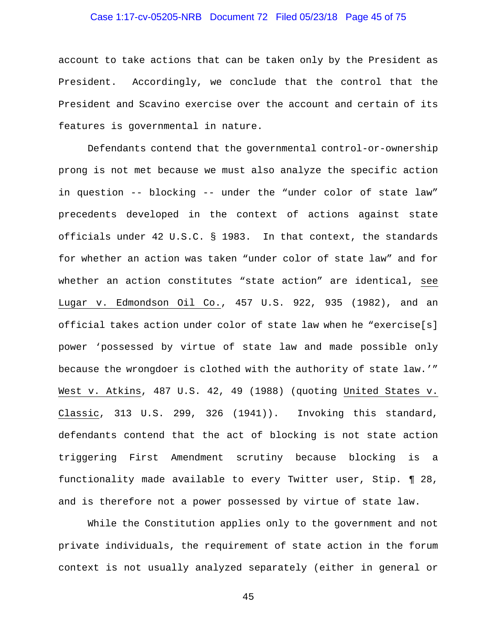## Case 1:17-cv-05205-NRB Document 72 Filed 05/23/18 Page 45 of 75

account to take actions that can be taken only by the President as President. Accordingly, we conclude that the control that the President and Scavino exercise over the account and certain of its features is governmental in nature.

Defendants contend that the governmental control-or-ownership prong is not met because we must also analyze the specific action in question -- blocking -- under the "under color of state law" precedents developed in the context of actions against state officials under 42 U.S.C. § 1983. In that context, the standards for whether an action was taken "under color of state law" and for whether an action constitutes "state action" are identical, see Lugar v. Edmondson Oil Co., 457 U.S. 922, 935 (1982), and an official takes action under color of state law when he "exercise[s] power 'possessed by virtue of state law and made possible only because the wrongdoer is clothed with the authority of state law.'" West v. Atkins, 487 U.S. 42, 49 (1988) (quoting United States v. Classic, 313 U.S. 299, 326 (1941)). Invoking this standard, defendants contend that the act of blocking is not state action triggering First Amendment scrutiny because blocking is a functionality made available to every Twitter user, Stip. ¶ 28, and is therefore not a power possessed by virtue of state law.

While the Constitution applies only to the government and not private individuals, the requirement of state action in the forum context is not usually analyzed separately (either in general or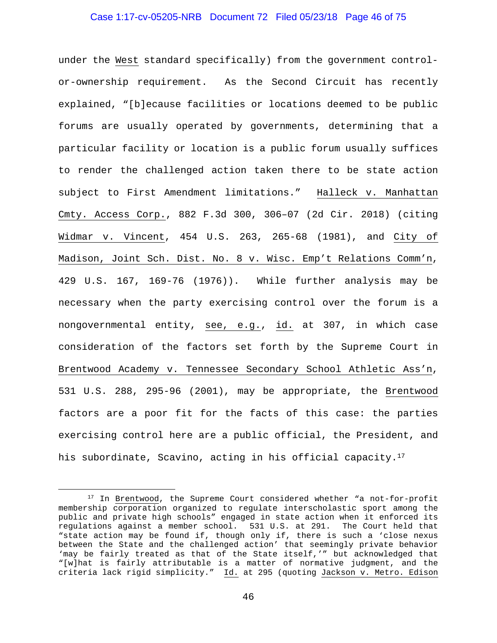## Case 1:17-cv-05205-NRB Document 72 Filed 05/23/18 Page 46 of 75

under the West standard specifically) from the government controlor-ownership requirement. As the Second Circuit has recently explained, "[b]ecause facilities or locations deemed to be public forums are usually operated by governments, determining that a particular facility or location is a public forum usually suffices to render the challenged action taken there to be state action subject to First Amendment limitations." Halleck v. Manhattan Cmty. Access Corp., 882 F.3d 300, 306–07 (2d Cir. 2018) (citing Widmar v. Vincent, 454 U.S. 263, 265-68 (1981), and City of Madison, Joint Sch. Dist. No. 8 v. Wisc. Emp't Relations Comm'n, 429 U.S. 167, 169-76 (1976)). While further analysis may be necessary when the party exercising control over the forum is a nongovernmental entity, see, e.g., id. at 307, in which case consideration of the factors set forth by the Supreme Court in Brentwood Academy v. Tennessee Secondary School Athletic Ass'n, 531 U.S. 288, 295-96 (2001), may be appropriate, the Brentwood factors are a poor fit for the facts of this case: the parties exercising control here are a public official, the President, and his subordinate, Scavino, acting in his official capacity.<sup>17</sup>

<sup>&</sup>lt;sup>17</sup> In Brentwood, the Supreme Court considered whether "a not-for-profit membership corporation organized to regulate interscholastic sport among the public and private high schools" engaged in state action when it enforced its regulations against a member school. 531 U.S. at 291. The Court held that "state action may be found if, though only if, there is such a 'close nexus between the State and the challenged action' that seemingly private behavior 'may be fairly treated as that of the State itself,'" but acknowledged that "[w]hat is fairly attributable is a matter of normative judgment, and the criteria lack rigid simplicity." Id. at 295 (quoting Jackson v. Metro. Edison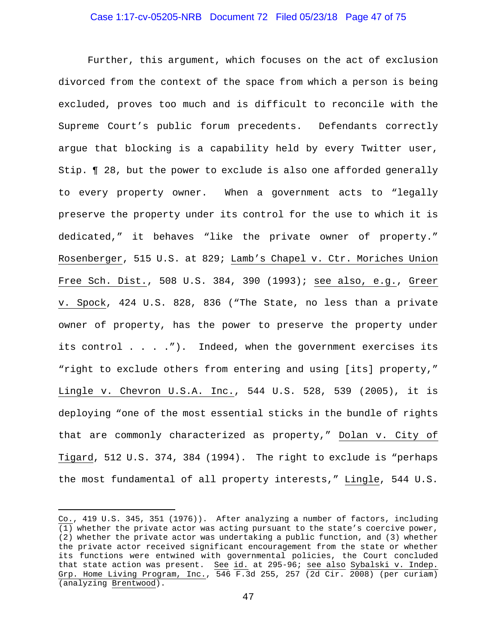#### Case 1:17-cv-05205-NRB Document 72 Filed 05/23/18 Page 47 of 75

Further, this argument, which focuses on the act of exclusion divorced from the context of the space from which a person is being excluded, proves too much and is difficult to reconcile with the Supreme Court's public forum precedents. Defendants correctly argue that blocking is a capability held by every Twitter user, Stip. ¶ 28, but the power to exclude is also one afforded generally to every property owner. When a government acts to "legally preserve the property under its control for the use to which it is dedicated," it behaves "like the private owner of property." Rosenberger, 515 U.S. at 829; Lamb's Chapel v. Ctr. Moriches Union Free Sch. Dist., 508 U.S. 384, 390 (1993); see also, e.g., Greer v. Spock, 424 U.S. 828, 836 ("The State, no less than a private owner of property, has the power to preserve the property under its control . . . ."). Indeed, when the government exercises its "right to exclude others from entering and using [its] property," Lingle v. Chevron U.S.A. Inc., 544 U.S. 528, 539 (2005), it is deploying "one of the most essential sticks in the bundle of rights that are commonly characterized as property," Dolan v. City of Tigard, 512 U.S. 374, 384 (1994). The right to exclude is "perhaps the most fundamental of all property interests," Lingle, 544 U.S.

i<br>Li

Co., 419 U.S. 345, 351 (1976)). After analyzing a number of factors, including (1) whether the private actor was acting pursuant to the state's coercive power, (2) whether the private actor was undertaking a public function, and (3) whether the private actor received significant encouragement from the state or whether its functions were entwined with governmental policies, the Court concluded that state action was present. See id. at 295-96; see also Sybalski v. Indep. Grp. Home Living Program, Inc., 546 F.3d 255, 257 (2d Cir. 2008) (per curiam) (analyzing Brentwood).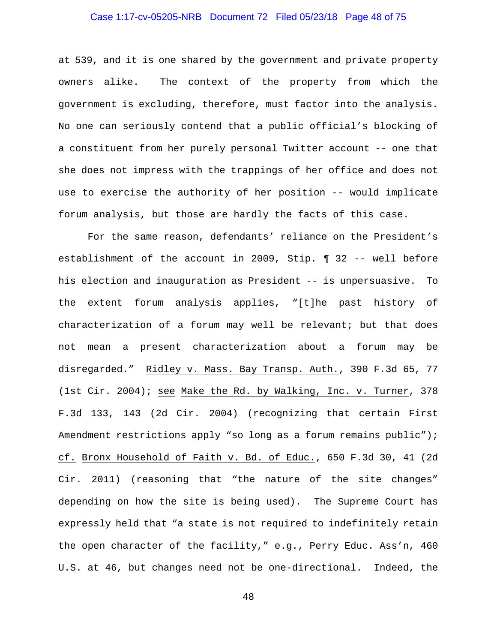## Case 1:17-cv-05205-NRB Document 72 Filed 05/23/18 Page 48 of 75

at 539, and it is one shared by the government and private property owners alike. The context of the property from which the government is excluding, therefore, must factor into the analysis. No one can seriously contend that a public official's blocking of a constituent from her purely personal Twitter account -- one that she does not impress with the trappings of her office and does not use to exercise the authority of her position -- would implicate forum analysis, but those are hardly the facts of this case.

For the same reason, defendants' reliance on the President's establishment of the account in 2009, Stip. ¶ 32 -- well before his election and inauguration as President -- is unpersuasive. To the extent forum analysis applies, "[t]he past history of characterization of a forum may well be relevant; but that does not mean a present characterization about a forum may be disregarded." Ridley v. Mass. Bay Transp. Auth., 390 F.3d 65, 77 (1st Cir. 2004); see Make the Rd. by Walking, Inc. v. Turner, 378 F.3d 133, 143 (2d Cir. 2004) (recognizing that certain First Amendment restrictions apply "so long as a forum remains public"); cf. Bronx Household of Faith v. Bd. of Educ., 650 F.3d 30, 41 (2d Cir. 2011) (reasoning that "the nature of the site changes" depending on how the site is being used). The Supreme Court has expressly held that "a state is not required to indefinitely retain the open character of the facility," e.g., Perry Educ. Ass'n, 460 U.S. at 46, but changes need not be one-directional. Indeed, the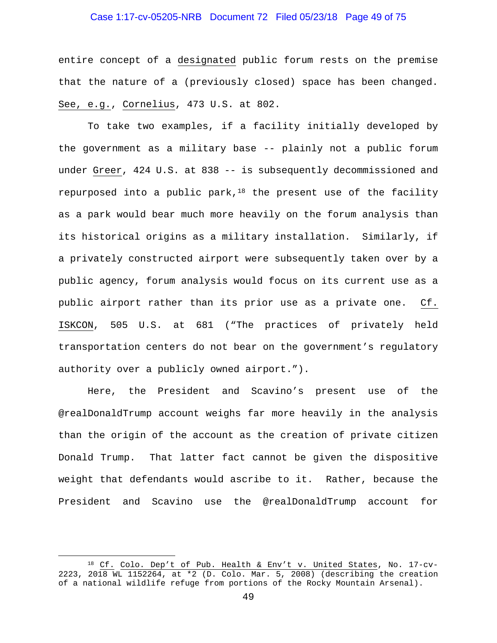## Case 1:17-cv-05205-NRB Document 72 Filed 05/23/18 Page 49 of 75

entire concept of a designated public forum rests on the premise that the nature of a (previously closed) space has been changed. See, e.g., Cornelius, 473 U.S. at 802.

To take two examples, if a facility initially developed by the government as a military base -- plainly not a public forum under Greer, 424 U.S. at 838 -- is subsequently decommissioned and repurposed into a public park, $18$  the present use of the facility as a park would bear much more heavily on the forum analysis than its historical origins as a military installation. Similarly, if a privately constructed airport were subsequently taken over by a public agency, forum analysis would focus on its current use as a public airport rather than its prior use as a private one. Cf. ISKCON, 505 U.S. at 681 ("The practices of privately held transportation centers do not bear on the government's regulatory authority over a publicly owned airport.").

Here, the President and Scavino's present use of the @realDonaldTrump account weighs far more heavily in the analysis than the origin of the account as the creation of private citizen Donald Trump. That latter fact cannot be given the dispositive weight that defendants would ascribe to it. Rather, because the President and Scavino use the @realDonaldTrump account for

<sup>&</sup>lt;sup>18</sup> Cf. Colo. Dep't of Pub. Health & Env't v. United States, No. 17-cv-2223, 2018 WL 1152264, at \*2 (D. Colo. Mar. 5, 2008) (describing the creation of a national wildlife refuge from portions of the Rocky Mountain Arsenal).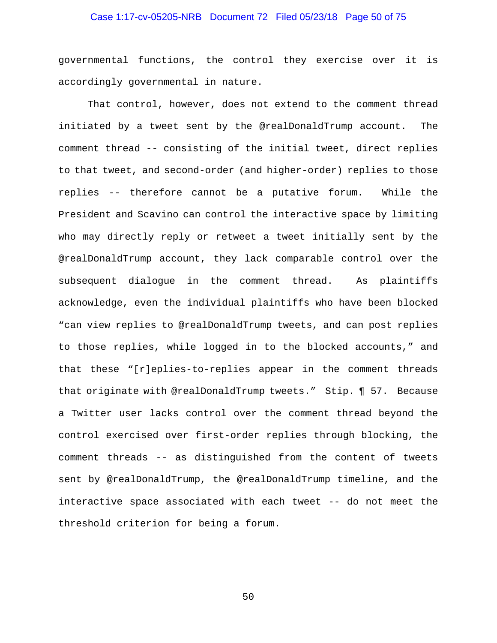## Case 1:17-cv-05205-NRB Document 72 Filed 05/23/18 Page 50 of 75

governmental functions, the control they exercise over it is accordingly governmental in nature.

That control, however, does not extend to the comment thread initiated by a tweet sent by the @realDonaldTrump account. The comment thread -- consisting of the initial tweet, direct replies to that tweet, and second-order (and higher-order) replies to those replies -- therefore cannot be a putative forum. While the President and Scavino can control the interactive space by limiting who may directly reply or retweet a tweet initially sent by the @realDonaldTrump account, they lack comparable control over the subsequent dialogue in the comment thread. As plaintiffs acknowledge, even the individual plaintiffs who have been blocked "can view replies to @realDonaldTrump tweets, and can post replies to those replies, while logged in to the blocked accounts," and that these "[r]eplies-to-replies appear in the comment threads that originate with @realDonaldTrump tweets." Stip. ¶ 57. Because a Twitter user lacks control over the comment thread beyond the control exercised over first-order replies through blocking, the comment threads -- as distinguished from the content of tweets sent by @realDonaldTrump, the @realDonaldTrump timeline, and the interactive space associated with each tweet -- do not meet the threshold criterion for being a forum.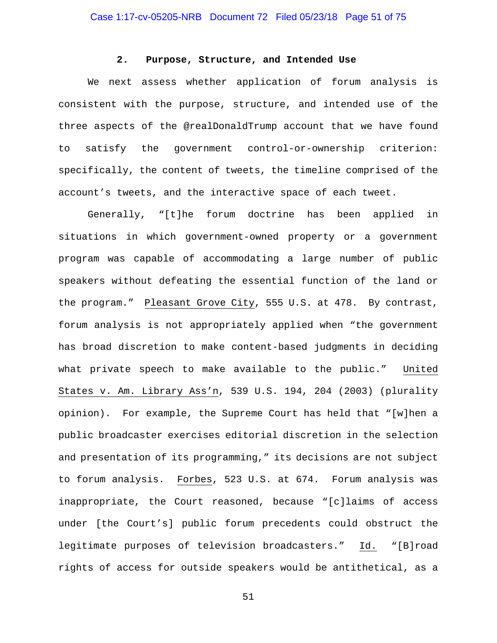#### **2. Purpose, Structure, and Intended Use**

We next assess whether application of forum analysis is consistent with the purpose, structure, and intended use of the three aspects of the @realDonaldTrump account that we have found to satisfy the government control-or-ownership criterion: specifically, the content of tweets, the timeline comprised of the account's tweets, and the interactive space of each tweet.

Generally, "[t]he forum doctrine has been applied in situations in which government-owned property or a government program was capable of accommodating a large number of public speakers without defeating the essential function of the land or the program." Pleasant Grove City, 555 U.S. at 478. By contrast, forum analysis is not appropriately applied when "the government has broad discretion to make content-based judgments in deciding what private speech to make available to the public." United States v. Am. Library Ass'n, 539 U.S. 194, 204 (2003) (plurality opinion). For example, the Supreme Court has held that "[w]hen a public broadcaster exercises editorial discretion in the selection and presentation of its programming," its decisions are not subject to forum analysis. Forbes, 523 U.S. at 674. Forum analysis was inappropriate, the Court reasoned, because "[c]laims of access under [the Court's] public forum precedents could obstruct the legitimate purposes of television broadcasters." Id. "[B]road rights of access for outside speakers would be antithetical, as a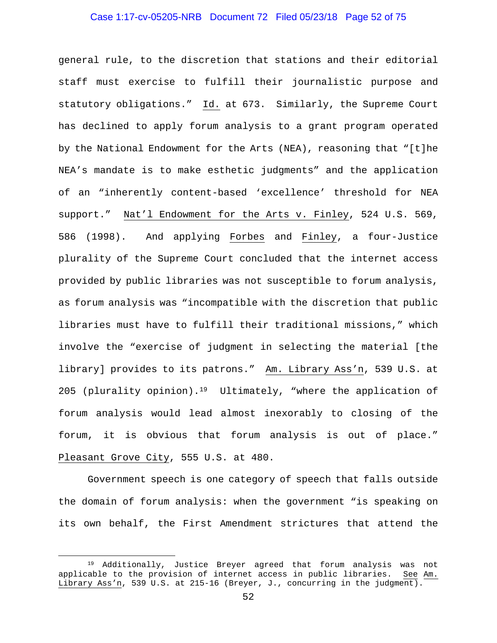## Case 1:17-cv-05205-NRB Document 72 Filed 05/23/18 Page 52 of 75

general rule, to the discretion that stations and their editorial staff must exercise to fulfill their journalistic purpose and statutory obligations." Id. at 673. Similarly, the Supreme Court has declined to apply forum analysis to a grant program operated by the National Endowment for the Arts (NEA), reasoning that "[t]he NEA's mandate is to make esthetic judgments" and the application of an "inherently content-based 'excellence' threshold for NEA support." Nat'l Endowment for the Arts v. Finley, 524 U.S. 569, 586 (1998). And applying Forbes and Finley, a four-Justice plurality of the Supreme Court concluded that the internet access provided by public libraries was not susceptible to forum analysis, as forum analysis was "incompatible with the discretion that public libraries must have to fulfill their traditional missions," which involve the "exercise of judgment in selecting the material [the library] provides to its patrons." Am. Library Ass'n, 539 U.S. at 205 (plurality opinion).<sup>19</sup> Ultimately, "where the application of forum analysis would lead almost inexorably to closing of the forum, it is obvious that forum analysis is out of place." Pleasant Grove City, 555 U.S. at 480.

Government speech is one category of speech that falls outside the domain of forum analysis: when the government "is speaking on its own behalf, the First Amendment strictures that attend the

<sup>&</sup>lt;sup>19</sup> Additionally, Justice Breyer agreed that forum analysis was not applicable to the provision of internet access in public libraries. See Am. Library Ass'n, 539 U.S. at 215-16 (Breyer, J., concurring in the judgment).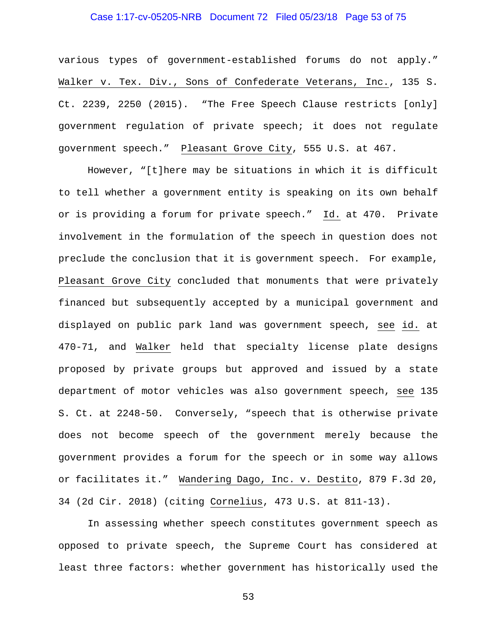## Case 1:17-cv-05205-NRB Document 72 Filed 05/23/18 Page 53 of 75

various types of government-established forums do not apply." Walker v. Tex. Div., Sons of Confederate Veterans, Inc., 135 S. Ct. 2239, 2250 (2015). "The Free Speech Clause restricts [only] government regulation of private speech; it does not regulate government speech." Pleasant Grove City, 555 U.S. at 467.

However, "[t]here may be situations in which it is difficult to tell whether a government entity is speaking on its own behalf or is providing a forum for private speech." Id. at 470. Private involvement in the formulation of the speech in question does not preclude the conclusion that it is government speech. For example, Pleasant Grove City concluded that monuments that were privately financed but subsequently accepted by a municipal government and displayed on public park land was government speech, see id. at 470-71, and Walker held that specialty license plate designs proposed by private groups but approved and issued by a state department of motor vehicles was also government speech, see 135 S. Ct. at 2248-50. Conversely, "speech that is otherwise private does not become speech of the government merely because the government provides a forum for the speech or in some way allows or facilitates it." Wandering Dago, Inc. v. Destito, 879 F.3d 20, 34 (2d Cir. 2018) (citing Cornelius, 473 U.S. at 811-13).

In assessing whether speech constitutes government speech as opposed to private speech, the Supreme Court has considered at least three factors: whether government has historically used the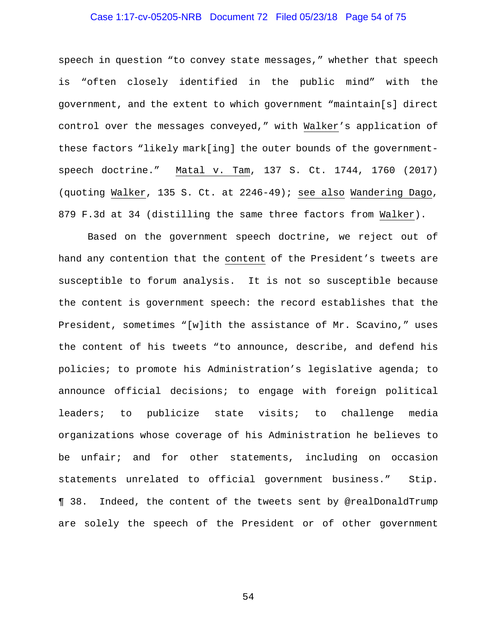## Case 1:17-cv-05205-NRB Document 72 Filed 05/23/18 Page 54 of 75

speech in question "to convey state messages," whether that speech is "often closely identified in the public mind" with the government, and the extent to which government "maintain[s] direct control over the messages conveyed," with Walker's application of these factors "likely mark[ing] the outer bounds of the governmentspeech doctrine." Matal v. Tam, 137 S. Ct. 1744, 1760 (2017) (quoting Walker, 135 S. Ct. at 2246-49); see also Wandering Dago, 879 F.3d at 34 (distilling the same three factors from Walker).

Based on the government speech doctrine, we reject out of hand any contention that the content of the President's tweets are susceptible to forum analysis. It is not so susceptible because the content is government speech: the record establishes that the President, sometimes "[w]ith the assistance of Mr. Scavino," uses the content of his tweets "to announce, describe, and defend his policies; to promote his Administration's legislative agenda; to announce official decisions; to engage with foreign political leaders; to publicize state visits; to challenge media organizations whose coverage of his Administration he believes to be unfair; and for other statements, including on occasion statements unrelated to official government business." Stip. ¶ 38. Indeed, the content of the tweets sent by @realDonaldTrump are solely the speech of the President or of other government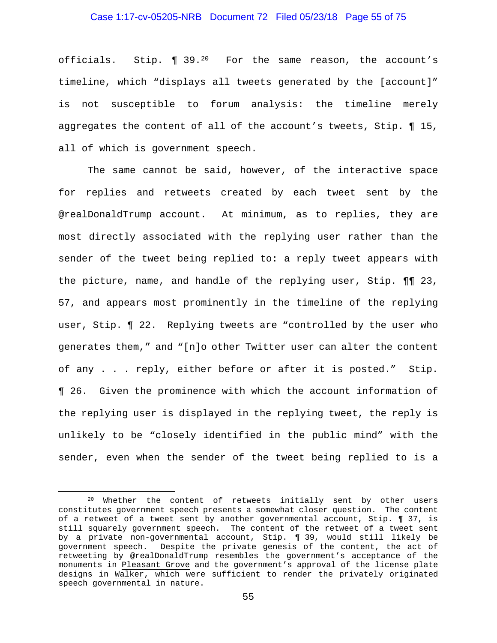#### Case 1:17-cv-05205-NRB Document 72 Filed 05/23/18 Page 55 of 75

officials. Stip. ¶ 39.20 For the same reason, the account's timeline, which "displays all tweets generated by the [account]" is not susceptible to forum analysis: the timeline merely aggregates the content of all of the account's tweets, Stip. ¶ 15, all of which is government speech.

The same cannot be said, however, of the interactive space for replies and retweets created by each tweet sent by the @realDonaldTrump account. At minimum, as to replies, they are most directly associated with the replying user rather than the sender of the tweet being replied to: a reply tweet appears with the picture, name, and handle of the replying user, Stip. ¶¶ 23, 57, and appears most prominently in the timeline of the replying user, Stip. ¶ 22. Replying tweets are "controlled by the user who generates them," and "[n]o other Twitter user can alter the content of any . . . reply, either before or after it is posted." Stip. ¶ 26. Given the prominence with which the account information of the replying user is displayed in the replying tweet, the reply is unlikely to be "closely identified in the public mind" with the sender, even when the sender of the tweet being replied to is a

 <sup>20</sup> Whether the content of retweets initially sent by other users constitutes government speech presents a somewhat closer question. The content of a retweet of a tweet sent by another governmental account, Stip. ¶ 37, is still squarely government speech. The content of the retweet of a tweet sent by a private non-governmental account, Stip. ¶ 39, would still likely be government speech. Despite the private genesis of the content, the act of retweeting by @realDonaldTrump resembles the government's acceptance of the monuments in Pleasant Grove and the government's approval of the license plate designs in Walker, which were sufficient to render the privately originated speech governmental in nature.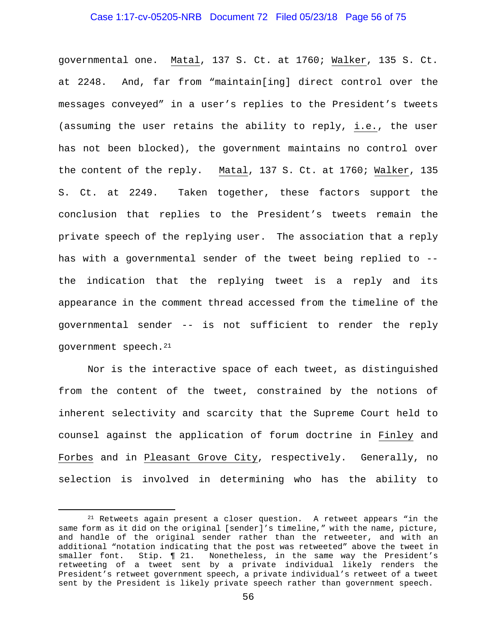## Case 1:17-cv-05205-NRB Document 72 Filed 05/23/18 Page 56 of 75

governmental one. Matal, 137 S. Ct. at 1760; Walker, 135 S. Ct. at 2248. And, far from "maintain[ing] direct control over the messages conveyed" in a user's replies to the President's tweets (assuming the user retains the ability to reply, i.e., the user has not been blocked), the government maintains no control over the content of the reply. Matal, 137 S. Ct. at 1760; Walker, 135 S. Ct. at 2249. Taken together, these factors support the conclusion that replies to the President's tweets remain the private speech of the replying user. The association that a reply has with a governmental sender of the tweet being replied to - the indication that the replying tweet is a reply and its appearance in the comment thread accessed from the timeline of the governmental sender -- is not sufficient to render the reply government speech.21

Nor is the interactive space of each tweet, as distinguished from the content of the tweet, constrained by the notions of inherent selectivity and scarcity that the Supreme Court held to counsel against the application of forum doctrine in Finley and Forbes and in Pleasant Grove City, respectively. Generally, no selection is involved in determining who has the ability to

 $21$  Retweets again present a closer question. A retweet appears "in the same form as it did on the original [sender]'s timeline," with the name, picture, and handle of the original sender rather than the retweeter, and with an additional "notation indicating that the post was retweeted" above the tweet in smaller font. Stip. ¶ 21. Nonetheless, in the same way the President's retweeting of a tweet sent by a private individual likely renders the President's retweet government speech, a private individual's retweet of a tweet sent by the President is likely private speech rather than government speech.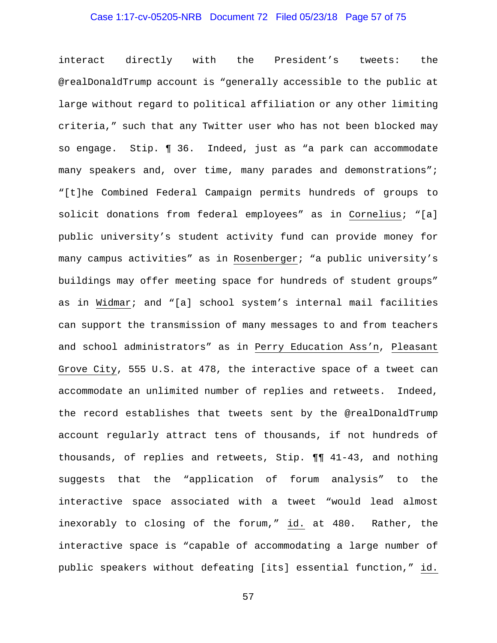## Case 1:17-cv-05205-NRB Document 72 Filed 05/23/18 Page 57 of 75

interact directly with the President's tweets: the @realDonaldTrump account is "generally accessible to the public at large without regard to political affiliation or any other limiting criteria," such that any Twitter user who has not been blocked may so engage. Stip. ¶ 36. Indeed, just as "a park can accommodate many speakers and, over time, many parades and demonstrations"; "[t]he Combined Federal Campaign permits hundreds of groups to solicit donations from federal employees" as in Cornelius; "[a] public university's student activity fund can provide money for many campus activities" as in Rosenberger; "a public university's buildings may offer meeting space for hundreds of student groups" as in Widmar; and "[a] school system's internal mail facilities can support the transmission of many messages to and from teachers and school administrators" as in Perry Education Ass'n, Pleasant Grove City, 555 U.S. at 478, the interactive space of a tweet can accommodate an unlimited number of replies and retweets. Indeed, the record establishes that tweets sent by the @realDonaldTrump account regularly attract tens of thousands, if not hundreds of thousands, of replies and retweets, Stip. ¶¶ 41-43, and nothing suggests that the "application of forum analysis" to the interactive space associated with a tweet "would lead almost inexorably to closing of the forum," id. at 480. Rather, the interactive space is "capable of accommodating a large number of public speakers without defeating [its] essential function," id.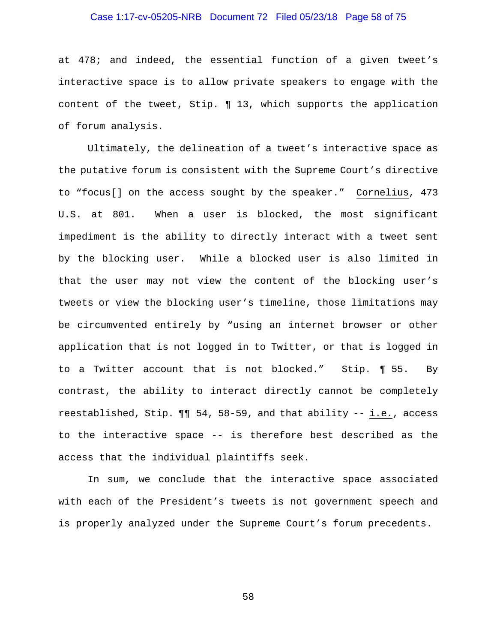## Case 1:17-cv-05205-NRB Document 72 Filed 05/23/18 Page 58 of 75

at 478; and indeed, the essential function of a given tweet's interactive space is to allow private speakers to engage with the content of the tweet, Stip. ¶ 13, which supports the application of forum analysis.

Ultimately, the delineation of a tweet's interactive space as the putative forum is consistent with the Supreme Court's directive to "focus[] on the access sought by the speaker." Cornelius, 473 U.S. at 801. When a user is blocked, the most significant impediment is the ability to directly interact with a tweet sent by the blocking user. While a blocked user is also limited in that the user may not view the content of the blocking user's tweets or view the blocking user's timeline, those limitations may be circumvented entirely by "using an internet browser or other application that is not logged in to Twitter, or that is logged in to a Twitter account that is not blocked." Stip. ¶ 55. By contrast, the ability to interact directly cannot be completely reestablished, Stip. ¶¶ 54, 58-59, and that ability -- i.e., access to the interactive space -- is therefore best described as the access that the individual plaintiffs seek.

In sum, we conclude that the interactive space associated with each of the President's tweets is not government speech and is properly analyzed under the Supreme Court's forum precedents.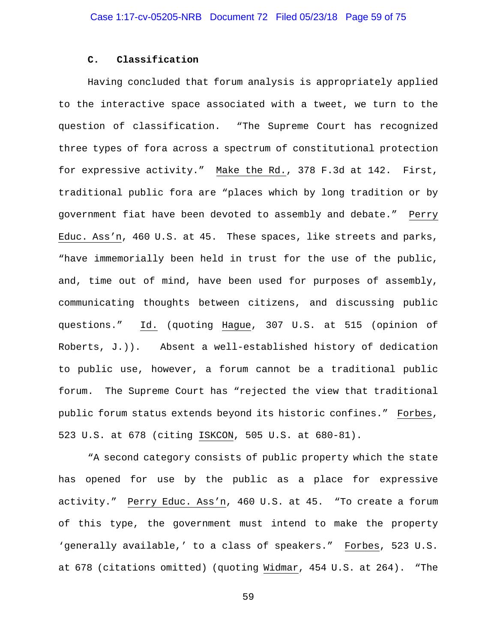#### **C. Classification**

Having concluded that forum analysis is appropriately applied to the interactive space associated with a tweet, we turn to the question of classification. "The Supreme Court has recognized three types of fora across a spectrum of constitutional protection for expressive activity." Make the Rd., 378 F.3d at 142. First, traditional public fora are "places which by long tradition or by government fiat have been devoted to assembly and debate." Perry Educ. Ass'n, 460 U.S. at 45. These spaces, like streets and parks, "have immemorially been held in trust for the use of the public, and, time out of mind, have been used for purposes of assembly, communicating thoughts between citizens, and discussing public questions." Id. (quoting Hague, 307 U.S. at 515 (opinion of Roberts, J.)). Absent a well-established history of dedication to public use, however, a forum cannot be a traditional public forum. The Supreme Court has "rejected the view that traditional public forum status extends beyond its historic confines." Forbes, 523 U.S. at 678 (citing ISKCON, 505 U.S. at 680-81).

"A second category consists of public property which the state has opened for use by the public as a place for expressive activity." Perry Educ. Ass'n, 460 U.S. at 45. "To create a forum of this type, the government must intend to make the property 'generally available,' to a class of speakers." Forbes, 523 U.S. at 678 (citations omitted) (quoting Widmar, 454 U.S. at 264). "The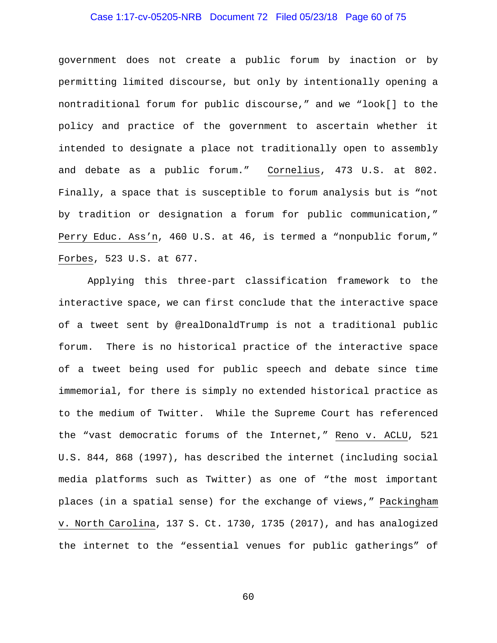## Case 1:17-cv-05205-NRB Document 72 Filed 05/23/18 Page 60 of 75

government does not create a public forum by inaction or by permitting limited discourse, but only by intentionally opening a nontraditional forum for public discourse," and we "look[] to the policy and practice of the government to ascertain whether it intended to designate a place not traditionally open to assembly and debate as a public forum." Cornelius, 473 U.S. at 802. Finally, a space that is susceptible to forum analysis but is "not by tradition or designation a forum for public communication," Perry Educ. Ass'n, 460 U.S. at 46, is termed a "nonpublic forum," Forbes, 523 U.S. at 677.

Applying this three-part classification framework to the interactive space, we can first conclude that the interactive space of a tweet sent by @realDonaldTrump is not a traditional public forum. There is no historical practice of the interactive space of a tweet being used for public speech and debate since time immemorial, for there is simply no extended historical practice as to the medium of Twitter. While the Supreme Court has referenced the "vast democratic forums of the Internet," Reno v. ACLU, 521 U.S. 844, 868 (1997), has described the internet (including social media platforms such as Twitter) as one of "the most important places (in a spatial sense) for the exchange of views," Packingham v. North Carolina, 137 S. Ct. 1730, 1735 (2017), and has analogized the internet to the "essential venues for public gatherings" of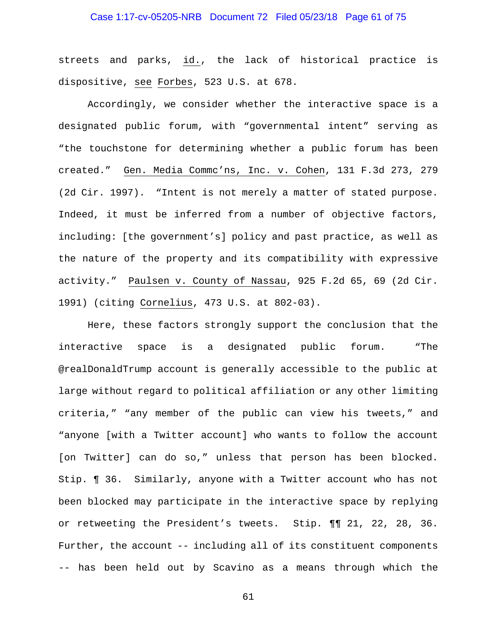## Case 1:17-cv-05205-NRB Document 72 Filed 05/23/18 Page 61 of 75

streets and parks, id., the lack of historical practice is dispositive, see Forbes, 523 U.S. at 678.

Accordingly, we consider whether the interactive space is a designated public forum, with "governmental intent" serving as "the touchstone for determining whether a public forum has been created." Gen. Media Commc'ns, Inc. v. Cohen, 131 F.3d 273, 279 (2d Cir. 1997). "Intent is not merely a matter of stated purpose. Indeed, it must be inferred from a number of objective factors, including: [the government's] policy and past practice, as well as the nature of the property and its compatibility with expressive activity." Paulsen v. County of Nassau, 925 F.2d 65, 69 (2d Cir. 1991) (citing Cornelius, 473 U.S. at 802-03).

Here, these factors strongly support the conclusion that the interactive space is a designated public forum. "The @realDonaldTrump account is generally accessible to the public at large without regard to political affiliation or any other limiting criteria," "any member of the public can view his tweets," and "anyone [with a Twitter account] who wants to follow the account [on Twitter] can do so," unless that person has been blocked. Stip. ¶ 36. Similarly, anyone with a Twitter account who has not been blocked may participate in the interactive space by replying or retweeting the President's tweets. Stip. ¶¶ 21, 22, 28, 36. Further, the account -- including all of its constituent components -- has been held out by Scavino as a means through which the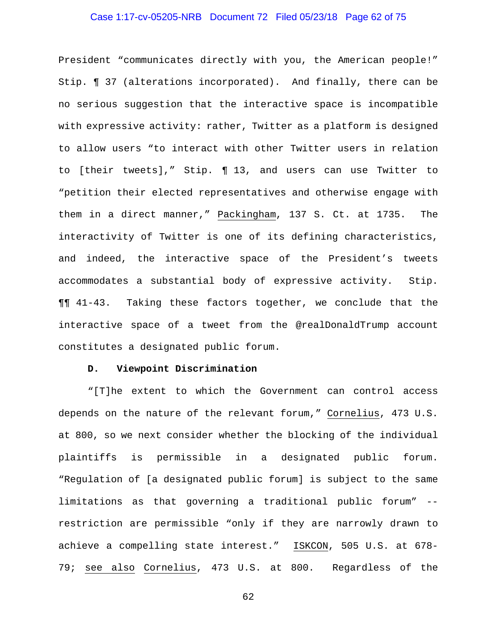## Case 1:17-cv-05205-NRB Document 72 Filed 05/23/18 Page 62 of 75

President "communicates directly with you, the American people!" Stip. ¶ 37 (alterations incorporated). And finally, there can be no serious suggestion that the interactive space is incompatible with expressive activity: rather, Twitter as a platform is designed to allow users "to interact with other Twitter users in relation to [their tweets]," Stip. ¶ 13, and users can use Twitter to "petition their elected representatives and otherwise engage with them in a direct manner," Packingham, 137 S. Ct. at 1735. The interactivity of Twitter is one of its defining characteristics, and indeed, the interactive space of the President's tweets accommodates a substantial body of expressive activity. Stip. ¶¶ 41-43. Taking these factors together, we conclude that the interactive space of a tweet from the @realDonaldTrump account constitutes a designated public forum.

#### **D. Viewpoint Discrimination**

"[T]he extent to which the Government can control access depends on the nature of the relevant forum," Cornelius, 473 U.S. at 800, so we next consider whether the blocking of the individual plaintiffs is permissible in a designated public forum. "Regulation of [a designated public forum] is subject to the same limitations as that governing a traditional public forum" - restriction are permissible "only if they are narrowly drawn to achieve a compelling state interest." ISKCON, 505 U.S. at 678- 79; see also Cornelius, 473 U.S. at 800. Regardless of the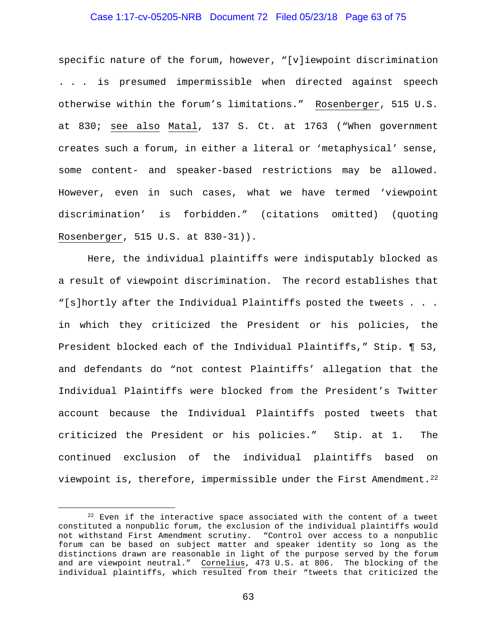#### Case 1:17-cv-05205-NRB Document 72 Filed 05/23/18 Page 63 of 75

specific nature of the forum, however, "[v]iewpoint discrimination . . . is presumed impermissible when directed against speech otherwise within the forum's limitations." Rosenberger, 515 U.S. at 830; see also Matal, 137 S. Ct. at 1763 ("When government creates such a forum, in either a literal or 'metaphysical' sense, some content- and speaker-based restrictions may be allowed. However, even in such cases, what we have termed 'viewpoint discrimination' is forbidden." (citations omitted) (quoting Rosenberger, 515 U.S. at 830-31)).

Here, the individual plaintiffs were indisputably blocked as a result of viewpoint discrimination. The record establishes that "[s]hortly after the Individual Plaintiffs posted the tweets . . . in which they criticized the President or his policies, the President blocked each of the Individual Plaintiffs," Stip. ¶ 53, and defendants do "not contest Plaintiffs' allegation that the Individual Plaintiffs were blocked from the President's Twitter account because the Individual Plaintiffs posted tweets that criticized the President or his policies." Stip. at 1. The continued exclusion of the individual plaintiffs based on viewpoint is, therefore, impermissible under the First Amendment.22

 $22$  Even if the interactive space associated with the content of a tweet constituted a nonpublic forum, the exclusion of the individual plaintiffs would not withstand First Amendment scrutiny. "Control over access to a nonpublic forum can be based on subject matter and speaker identity so long as the distinctions drawn are reasonable in light of the purpose served by the forum and are viewpoint neutral." Cornelius, 473 U.S. at 806. The blocking of the individual plaintiffs, which resulted from their "tweets that criticized the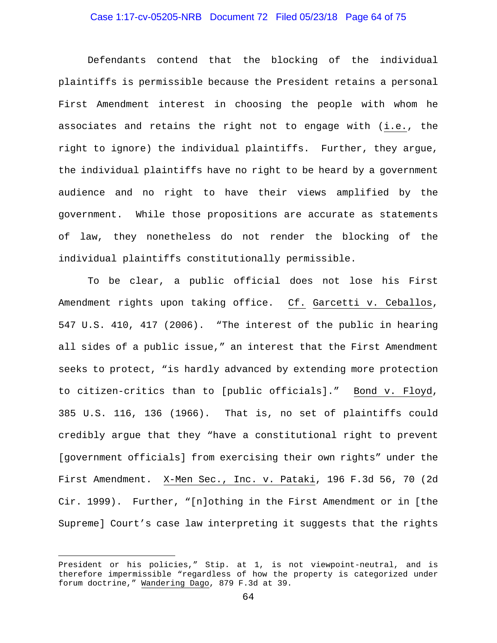## Case 1:17-cv-05205-NRB Document 72 Filed 05/23/18 Page 64 of 75

Defendants contend that the blocking of the individual plaintiffs is permissible because the President retains a personal First Amendment interest in choosing the people with whom he associates and retains the right not to engage with (i.e., the right to ignore) the individual plaintiffs. Further, they argue, the individual plaintiffs have no right to be heard by a government audience and no right to have their views amplified by the government. While those propositions are accurate as statements of law, they nonetheless do not render the blocking of the individual plaintiffs constitutionally permissible.

To be clear, a public official does not lose his First Amendment rights upon taking office. Cf. Garcetti v. Ceballos, 547 U.S. 410, 417 (2006). "The interest of the public in hearing all sides of a public issue," an interest that the First Amendment seeks to protect, "is hardly advanced by extending more protection to citizen-critics than to [public officials]." Bond v. Floyd, 385 U.S. 116, 136 (1966). That is, no set of plaintiffs could credibly argue that they "have a constitutional right to prevent [government officials] from exercising their own rights" under the First Amendment. X-Men Sec., Inc. v. Pataki, 196 F.3d 56, 70 (2d Cir. 1999). Further, "[n]othing in the First Amendment or in [the Supreme] Court's case law interpreting it suggests that the rights

i<br>Li

President or his policies," Stip. at 1, is not viewpoint-neutral, and is therefore impermissible "regardless of how the property is categorized under forum doctrine," Wandering Dago, 879 F.3d at 39.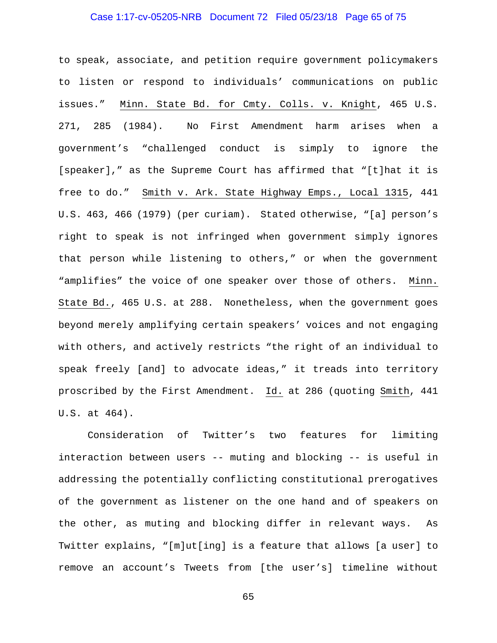## Case 1:17-cv-05205-NRB Document 72 Filed 05/23/18 Page 65 of 75

to speak, associate, and petition require government policymakers to listen or respond to individuals' communications on public issues." Minn. State Bd. for Cmty. Colls. v. Knight, 465 U.S. 271, 285 (1984). No First Amendment harm arises when a government's "challenged conduct is simply to ignore the [speaker]," as the Supreme Court has affirmed that "[t]hat it is free to do." Smith v. Ark. State Highway Emps., Local 1315, 441 U.S. 463, 466 (1979) (per curiam). Stated otherwise, "[a] person's right to speak is not infringed when government simply ignores that person while listening to others," or when the government "amplifies" the voice of one speaker over those of others. Minn. State Bd., 465 U.S. at 288. Nonetheless, when the government goes beyond merely amplifying certain speakers' voices and not engaging with others, and actively restricts "the right of an individual to speak freely [and] to advocate ideas," it treads into territory proscribed by the First Amendment. Id. at 286 (quoting Smith, 441 U.S. at 464).

Consideration of Twitter's two features for limiting interaction between users -- muting and blocking -- is useful in addressing the potentially conflicting constitutional prerogatives of the government as listener on the one hand and of speakers on the other, as muting and blocking differ in relevant ways. As Twitter explains, "[m]ut[ing] is a feature that allows [a user] to remove an account's Tweets from [the user's] timeline without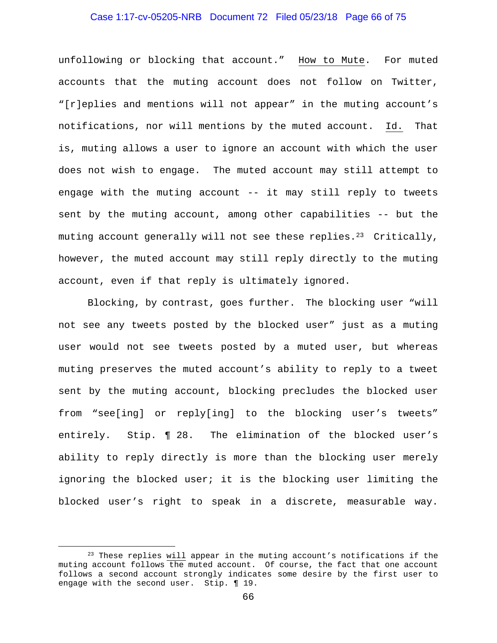## Case 1:17-cv-05205-NRB Document 72 Filed 05/23/18 Page 66 of 75

unfollowing or blocking that account." How to Mute. For muted accounts that the muting account does not follow on Twitter, "[r]eplies and mentions will not appear" in the muting account's notifications, nor will mentions by the muted account. Id. That is, muting allows a user to ignore an account with which the user does not wish to engage. The muted account may still attempt to engage with the muting account -- it may still reply to tweets sent by the muting account, among other capabilities -- but the muting account generally will not see these replies.<sup>23</sup> Critically, however, the muted account may still reply directly to the muting account, even if that reply is ultimately ignored.

Blocking, by contrast, goes further. The blocking user "will not see any tweets posted by the blocked user" just as a muting user would not see tweets posted by a muted user, but whereas muting preserves the muted account's ability to reply to a tweet sent by the muting account, blocking precludes the blocked user from "see[ing] or reply[ing] to the blocking user's tweets" entirely. Stip. ¶ 28. The elimination of the blocked user's ability to reply directly is more than the blocking user merely ignoring the blocked user; it is the blocking user limiting the blocked user's right to speak in a discrete, measurable way.

<sup>&</sup>lt;sup>23</sup> These replies will appear in the muting account's notifications if the muting account follows the muted account. Of course, the fact that one account follows a second account strongly indicates some desire by the first user to engage with the second user. Stip. ¶ 19.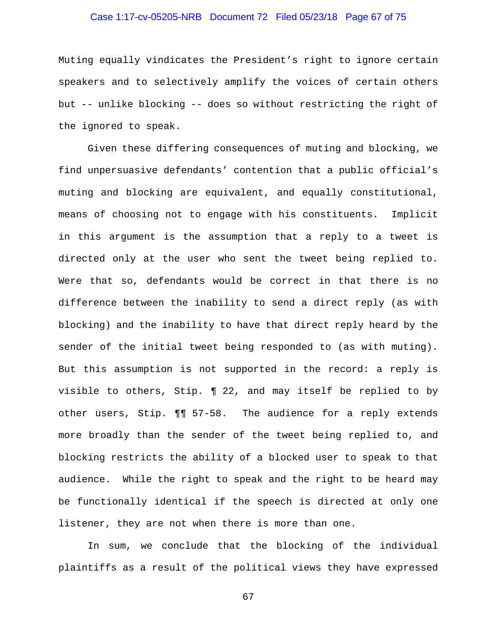## Case 1:17-cv-05205-NRB Document 72 Filed 05/23/18 Page 67 of 75

Muting equally vindicates the President's right to ignore certain speakers and to selectively amplify the voices of certain others but -- unlike blocking -- does so without restricting the right of the ignored to speak.

Given these differing consequences of muting and blocking, we find unpersuasive defendants' contention that a public official's muting and blocking are equivalent, and equally constitutional, means of choosing not to engage with his constituents. Implicit in this argument is the assumption that a reply to a tweet is directed only at the user who sent the tweet being replied to. Were that so, defendants would be correct in that there is no difference between the inability to send a direct reply (as with blocking) and the inability to have that direct reply heard by the sender of the initial tweet being responded to (as with muting). But this assumption is not supported in the record: a reply is visible to others, Stip. ¶ 22, and may itself be replied to by other users, Stip. ¶¶ 57-58. The audience for a reply extends more broadly than the sender of the tweet being replied to, and blocking restricts the ability of a blocked user to speak to that audience. While the right to speak and the right to be heard may be functionally identical if the speech is directed at only one listener, they are not when there is more than one.

In sum, we conclude that the blocking of the individual plaintiffs as a result of the political views they have expressed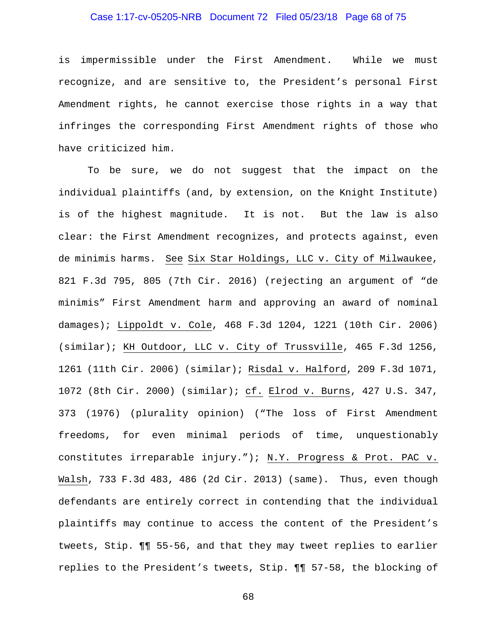## Case 1:17-cv-05205-NRB Document 72 Filed 05/23/18 Page 68 of 75

is impermissible under the First Amendment. While we must recognize, and are sensitive to, the President's personal First Amendment rights, he cannot exercise those rights in a way that infringes the corresponding First Amendment rights of those who have criticized him.

To be sure, we do not suggest that the impact on the individual plaintiffs (and, by extension, on the Knight Institute) is of the highest magnitude. It is not. But the law is also clear: the First Amendment recognizes, and protects against, even de minimis harms. See Six Star Holdings, LLC v. City of Milwaukee, 821 F.3d 795, 805 (7th Cir. 2016) (rejecting an argument of "de minimis" First Amendment harm and approving an award of nominal damages); Lippoldt v. Cole, 468 F.3d 1204, 1221 (10th Cir. 2006) (similar); KH Outdoor, LLC v. City of Trussville, 465 F.3d 1256, 1261 (11th Cir. 2006) (similar); Risdal v. Halford, 209 F.3d 1071, 1072 (8th Cir. 2000) (similar); cf. Elrod v. Burns, 427 U.S. 347, 373 (1976) (plurality opinion) ("The loss of First Amendment freedoms, for even minimal periods of time, unquestionably constitutes irreparable injury."); N.Y. Progress & Prot. PAC v. Walsh, 733 F.3d 483, 486 (2d Cir. 2013) (same). Thus, even though defendants are entirely correct in contending that the individual plaintiffs may continue to access the content of the President's tweets, Stip. ¶¶ 55-56, and that they may tweet replies to earlier replies to the President's tweets, Stip. ¶¶ 57-58, the blocking of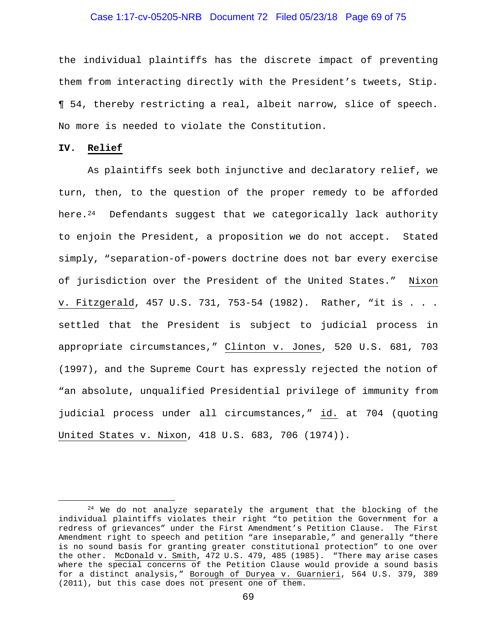#### Case 1:17-cv-05205-NRB Document 72 Filed 05/23/18 Page 69 of 75

the individual plaintiffs has the discrete impact of preventing them from interacting directly with the President's tweets, Stip. ¶ 54, thereby restricting a real, albeit narrow, slice of speech. No more is needed to violate the Constitution.

#### **IV. Relief**

As plaintiffs seek both injunctive and declaratory relief, we turn, then, to the question of the proper remedy to be afforded here. $24$  Defendants suggest that we categorically lack authority to enjoin the President, a proposition we do not accept. Stated simply, "separation-of-powers doctrine does not bar every exercise of jurisdiction over the President of the United States." Nixon v. Fitzgerald, 457 U.S. 731, 753-54 (1982). Rather, "it is . . . settled that the President is subject to judicial process in appropriate circumstances," Clinton v. Jones, 520 U.S. 681, 703 (1997), and the Supreme Court has expressly rejected the notion of "an absolute, unqualified Presidential privilege of immunity from judicial process under all circumstances," id. at 704 (quoting United States v. Nixon, 418 U.S. 683, 706 (1974)).

 $24$  We do not analyze separately the argument that the blocking of the individual plaintiffs violates their right "to petition the Government for a redress of grievances" under the First Amendment's Petition Clause. The First Amendment right to speech and petition "are inseparable," and generally "there is no sound basis for granting greater constitutional protection" to one over the other. McDonald v. Smith, 472 U.S. 479, 485 (1985). "There may arise cases where the special concerns of the Petition Clause would provide a sound basis for a distinct analysis," Borough of Duryea v. Guarnieri, 564 U.S. 379, 389 (2011), but this case does not present one of them.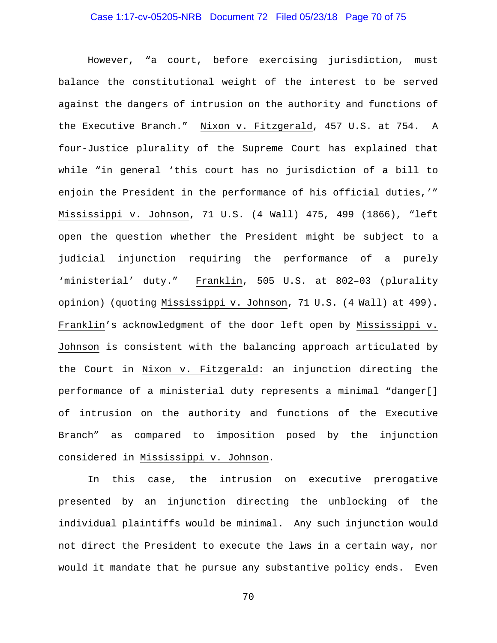# Case 1:17-cv-05205-NRB Document 72 Filed 05/23/18 Page 70 of 75

However, "a court, before exercising jurisdiction, must balance the constitutional weight of the interest to be served against the dangers of intrusion on the authority and functions of the Executive Branch." Nixon v. Fitzgerald, 457 U.S. at 754. A four-Justice plurality of the Supreme Court has explained that while "in general 'this court has no jurisdiction of a bill to enjoin the President in the performance of his official duties,'" Mississippi v. Johnson, 71 U.S. (4 Wall) 475, 499 (1866), "left open the question whether the President might be subject to a judicial injunction requiring the performance of a purely 'ministerial' duty." Franklin, 505 U.S. at 802-03 (plurality opinion) (quoting Mississippi v. Johnson, 71 U.S. (4 Wall) at 499). Franklin's acknowledgment of the door left open by Mississippi v. Johnson is consistent with the balancing approach articulated by the Court in Nixon v. Fitzgerald: an injunction directing the performance of a ministerial duty represents a minimal "danger[] of intrusion on the authority and functions of the Executive Branch" as compared to imposition posed by the injunction considered in Mississippi v. Johnson.

In this case, the intrusion on executive prerogative presented by an injunction directing the unblocking of the individual plaintiffs would be minimal. Any such injunction would not direct the President to execute the laws in a certain way, nor would it mandate that he pursue any substantive policy ends. Even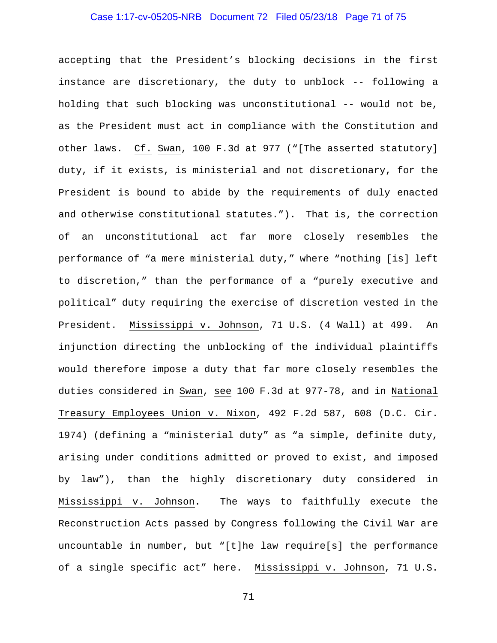## Case 1:17-cv-05205-NRB Document 72 Filed 05/23/18 Page 71 of 75

accepting that the President's blocking decisions in the first instance are discretionary, the duty to unblock -- following a holding that such blocking was unconstitutional -- would not be, as the President must act in compliance with the Constitution and other laws. Cf. Swan, 100 F.3d at 977 ("[The asserted statutory] duty, if it exists, is ministerial and not discretionary, for the President is bound to abide by the requirements of duly enacted and otherwise constitutional statutes."). That is, the correction of an unconstitutional act far more closely resembles the performance of "a mere ministerial duty," where "nothing [is] left to discretion," than the performance of a "purely executive and political" duty requiring the exercise of discretion vested in the President. Mississippi v. Johnson, 71 U.S. (4 Wall) at 499. An injunction directing the unblocking of the individual plaintiffs would therefore impose a duty that far more closely resembles the duties considered in Swan, see 100 F.3d at 977-78, and in National Treasury Employees Union v. Nixon, 492 F.2d 587, 608 (D.C. Cir. 1974) (defining a "ministerial duty" as "a simple, definite duty, arising under conditions admitted or proved to exist, and imposed by law"), than the highly discretionary duty considered in Mississippi v. Johnson. The ways to faithfully execute the Reconstruction Acts passed by Congress following the Civil War are uncountable in number, but "[t]he law require[s] the performance of a single specific act" here. Mississippi v. Johnson, 71 U.S.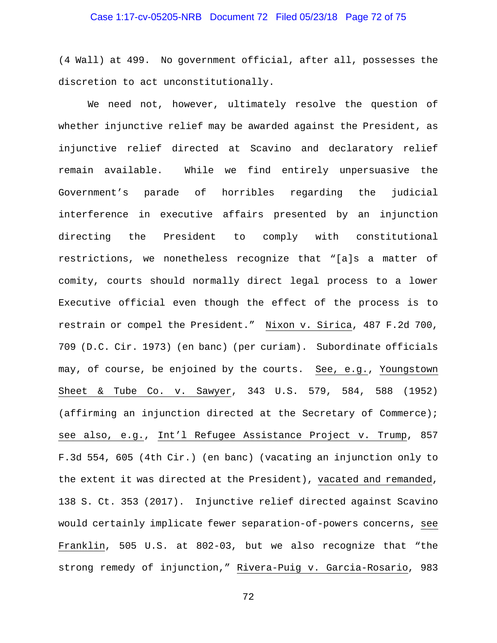## Case 1:17-cv-05205-NRB Document 72 Filed 05/23/18 Page 72 of 75

(4 Wall) at 499. No government official, after all, possesses the discretion to act unconstitutionally.

We need not, however, ultimately resolve the question of whether injunctive relief may be awarded against the President, as injunctive relief directed at Scavino and declaratory relief remain available. While we find entirely unpersuasive the Government's parade of horribles regarding the judicial interference in executive affairs presented by an injunction directing the President to comply with constitutional restrictions, we nonetheless recognize that "[a]s a matter of comity, courts should normally direct legal process to a lower Executive official even though the effect of the process is to restrain or compel the President." Nixon v. Sirica, 487 F.2d 700, 709 (D.C. Cir. 1973) (en banc) (per curiam). Subordinate officials may, of course, be enjoined by the courts. See, e.g., Youngstown Sheet & Tube Co. v. Sawyer, 343 U.S. 579, 584, 588 (1952) (affirming an injunction directed at the Secretary of Commerce); see also, e.g., Int'l Refugee Assistance Project v. Trump, 857 F.3d 554, 605 (4th Cir.) (en banc) (vacating an injunction only to the extent it was directed at the President), vacated and remanded, 138 S. Ct. 353 (2017). Injunctive relief directed against Scavino would certainly implicate fewer separation-of-powers concerns, see Franklin, 505 U.S. at 802-03, but we also recognize that "the strong remedy of injunction," Rivera-Puig v. Garcia-Rosario, 983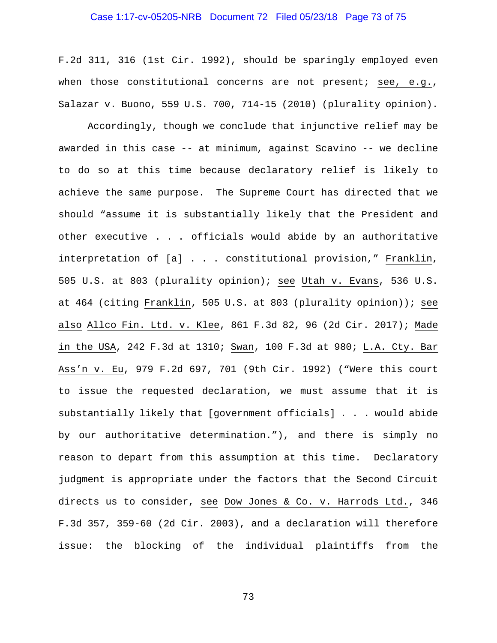## Case 1:17-cv-05205-NRB Document 72 Filed 05/23/18 Page 73 of 75

F.2d 311, 316 (1st Cir. 1992), should be sparingly employed even when those constitutional concerns are not present; see, e.g., Salazar v. Buono, 559 U.S. 700, 714-15 (2010) (plurality opinion).

Accordingly, though we conclude that injunctive relief may be awarded in this case -- at minimum, against Scavino -- we decline to do so at this time because declaratory relief is likely to achieve the same purpose. The Supreme Court has directed that we should "assume it is substantially likely that the President and other executive . . . officials would abide by an authoritative interpretation of [a] . . . constitutional provision," Franklin, 505 U.S. at 803 (plurality opinion); see Utah v. Evans, 536 U.S. at 464 (citing Franklin, 505 U.S. at 803 (plurality opinion)); see also Allco Fin. Ltd. v. Klee, 861 F.3d 82, 96 (2d Cir. 2017); Made in the USA, 242 F.3d at 1310; Swan, 100 F.3d at 980; L.A. Cty. Bar Ass'n v. Eu, 979 F.2d 697, 701 (9th Cir. 1992) ("Were this court to issue the requested declaration, we must assume that it is substantially likely that [government officials] . . . would abide by our authoritative determination."), and there is simply no reason to depart from this assumption at this time. Declaratory judgment is appropriate under the factors that the Second Circuit directs us to consider, see Dow Jones & Co. v. Harrods Ltd., 346 F.3d 357, 359-60 (2d Cir. 2003), and a declaration will therefore issue: the blocking of the individual plaintiffs from the

73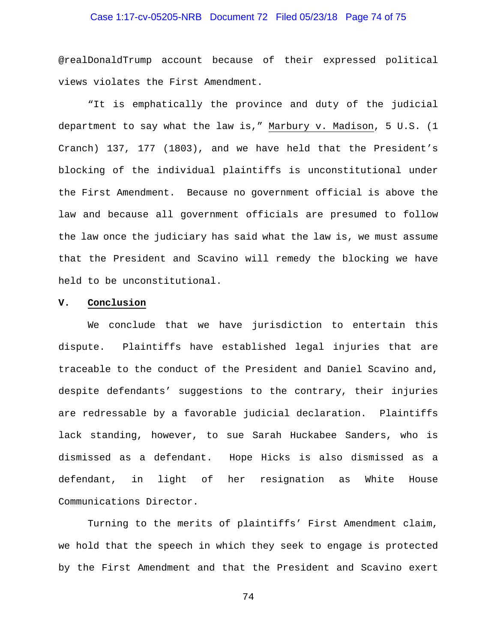## Case 1:17-cv-05205-NRB Document 72 Filed 05/23/18 Page 74 of 75

@realDonaldTrump account because of their expressed political views violates the First Amendment.

"It is emphatically the province and duty of the judicial department to say what the law is," Marbury v. Madison, 5 U.S. (1 Cranch) 137, 177 (1803), and we have held that the President's blocking of the individual plaintiffs is unconstitutional under the First Amendment. Because no government official is above the law and because all government officials are presumed to follow the law once the judiciary has said what the law is, we must assume that the President and Scavino will remedy the blocking we have held to be unconstitutional.

## **V. Conclusion**

We conclude that we have jurisdiction to entertain this dispute. Plaintiffs have established legal injuries that are traceable to the conduct of the President and Daniel Scavino and, despite defendants' suggestions to the contrary, their injuries are redressable by a favorable judicial declaration. Plaintiffs lack standing, however, to sue Sarah Huckabee Sanders, who is dismissed as a defendant. Hope Hicks is also dismissed as a defendant, in light of her resignation as White House Communications Director.

Turning to the merits of plaintiffs' First Amendment claim, we hold that the speech in which they seek to engage is protected by the First Amendment and that the President and Scavino exert

74